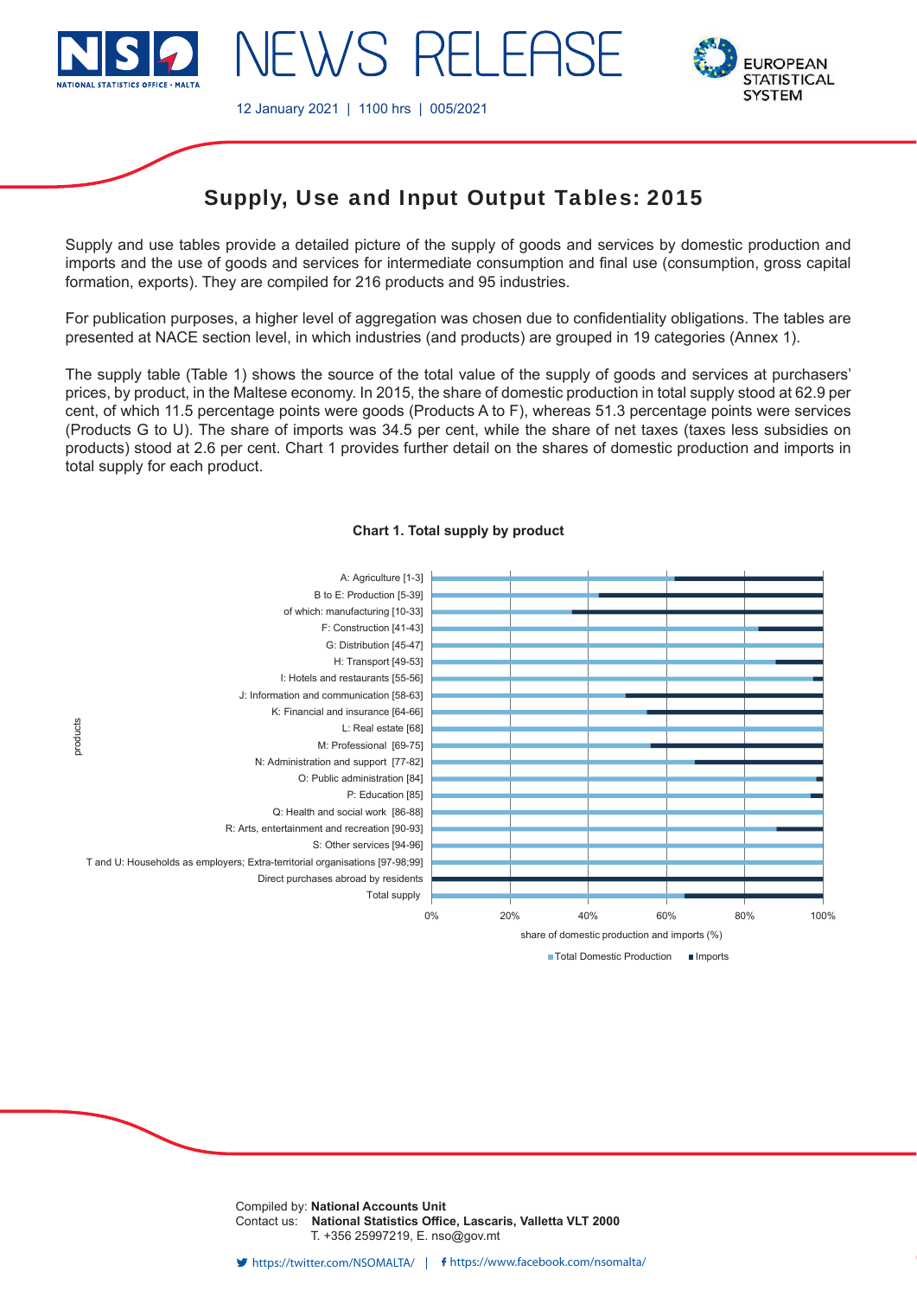

12 January 2021 | 1100 hrs | 005/2021



# Supply, Use and Input Output Tables: 2015

Supply and use tables provide a detailed picture of the supply of goods and services by domestic production and imports and the use of goods and services for intermediate consumption and final use (consumption, gross capital formation, exports). They are compiled for 216 products and 95 industries.

For publication purposes, a higher level of aggregation was chosen due to confidentiality obligations. The tables are presented at NACE section level, in which industries (and products) are grouped in 19 categories (Annex 1).

The supply table (Table 1) shows the source of the total value of the supply of goods and services at purchasers' prices, by product, in the Maltese economy. In 2015, the share of domestic production in total supply stood at 62.9 per cent, of which 11.5 percentage points were goods (Products A to F), whereas 51.3 percentage points were services (Products G to U). The share of imports was 34.5 per cent, while the share of net taxes (taxes less subsidies on products) stood at 2.6 per cent. Chart 1 provides further detail on the shares of domestic production and imports in total supply for each product.



#### **Chart 1. Total supply by product**

■ Total Domestic Production ■ Imports

Compiled by: **National Accounts Unit** Contact us: **National Statistics Office, Lascaris, Valletta VLT 2000** T. +356 25997219, E. nso@gov.mt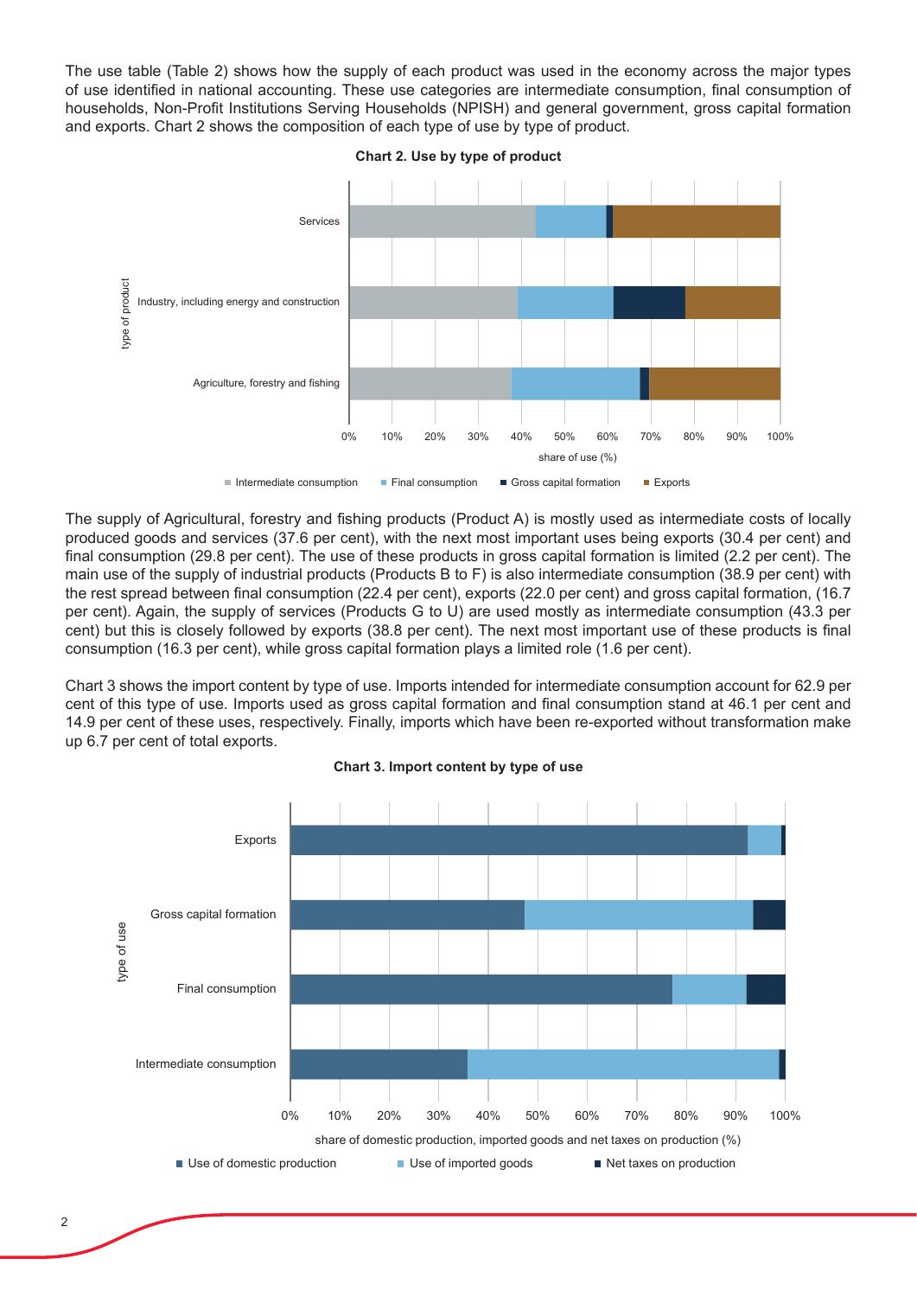The use table (Table 2) shows how the supply of each product was used in the economy across the major types of use identified in national accounting. These use categories are intermediate consumption, final consumption of households, Non-Profit Institutions Serving Households (NPISH) and general government, gross capital formation and exports. Chart 2 shows the composition of each type of use by type of product.



The supply of Agricultural, forestry and fishing products (Product A) is mostly used as intermediate costs of locally produced goods and services (37.6 per cent), with the next most important uses being exports (30.4 per cent) and final consumption (29.8 per cent). The use of these products in gross capital formation is limited (2.2 per cent). The main use of the supply of industrial products (Products B to F) is also intermediate consumption (38.9 per cent) with the rest spread between final consumption (22.4 per cent), exports (22.0 per cent) and gross capital formation, (16.7 per cent). Again, the supply of services (Products G to U) are used mostly as intermediate consumption (43.3 per cent) but this is closely followed by exports (38.8 per cent). The next most important use of these products is final consumption (16.3 per cent), while gross capital formation plays a limited role (1.6 per cent).

Chart 3 shows the import content by type of use. Imports intended for intermediate consumption account for 62.9 per cent of this type of use. Imports used as gross capital formation and final consumption stand at 46.1 per cent and 14.9 per cent of these uses, respectively. Finally, imports which have been re-exported without transformation make up 6.7 per cent of total exports.



**Chart 3. Import content by type of use**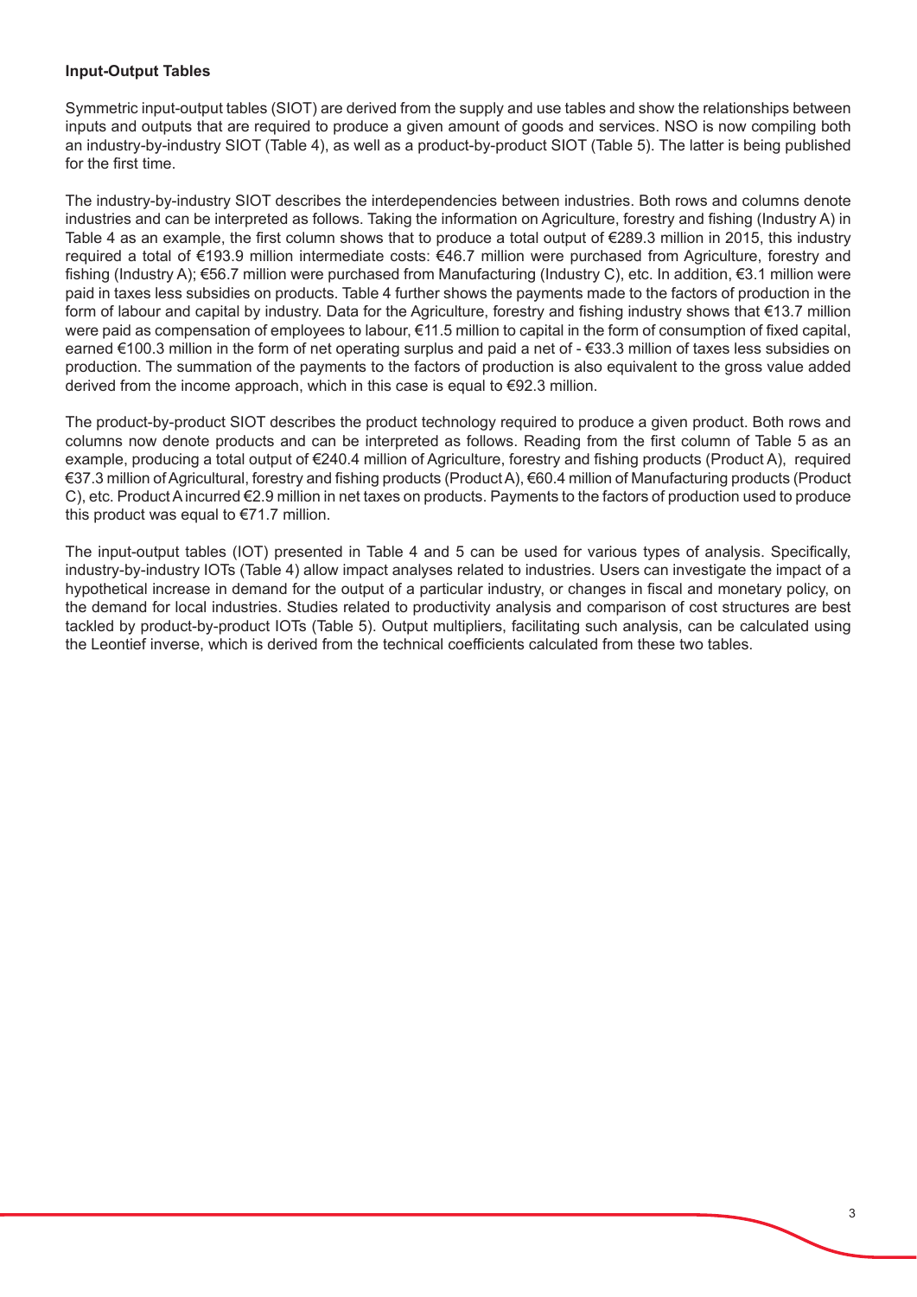# **Input-Output Tables**

Symmetric input-output tables (SIOT) are derived from the supply and use tables and show the relationships between inputs and outputs that are required to produce a given amount of goods and services. NSO is now compiling both an industry-by-industry SIOT (Table 4), as well as a product-by-product SIOT (Table 5). The latter is being published for the first time.

The industry-by-industry SIOT describes the interdependencies between industries. Both rows and columns denote industries and can be interpreted as follows. Taking the information on Agriculture, forestry and fishing (Industry A) in Table 4 as an example, the first column shows that to produce a total output of  $\epsilon$ 289.3 million in 2015, this industry required a total of €193.9 million intermediate costs: €46.7 million were purchased from Agriculture, forestry and fishing (Industry A);  $\epsilon$ 56.7 million were purchased from Manufacturing (Industry C), etc. In addition,  $\epsilon$ 3.1 million were paid in taxes less subsidies on products. Table 4 further shows the payments made to the factors of production in the form of labour and capital by industry. Data for the Agriculture, forestry and fishing industry shows that €13.7 million were paid as compensation of employees to labour, €11.5 million to capital in the form of consumption of fixed capital, earned €100.3 million in the form of net operating surplus and paid a net of - €33.3 million of taxes less subsidies on production. The summation of the payments to the factors of production is also equivalent to the gross value added derived from the income approach, which in this case is equal to €92.3 million.

The product-by-product SIOT describes the product technology required to produce a given product. Both rows and columns now denote products and can be interpreted as follows. Reading from the first column of Table 5 as an example, producing a total output of €240.4 million of Agriculture, forestry and fishing products (Product A), required €37.3 million of Agricultural, forestry and fi shing products (Product A), €60.4 million of Manufacturing products (Product C), etc. Product A incurred €2.9 million in net taxes on products. Payments to the factors of production used to produce this product was equal to €71.7 million.

The input-output tables (IOT) presented in Table 4 and 5 can be used for various types of analysis. Specifically, industry-by-industry IOTs (Table 4) allow impact analyses related to industries. Users can investigate the impact of a hypothetical increase in demand for the output of a particular industry, or changes in fiscal and monetary policy, on the demand for local industries. Studies related to productivity analysis and comparison of cost structures are best tackled by product-by-product IOTs (Table 5). Output multipliers, facilitating such analysis, can be calculated using the Leontief inverse, which is derived from the technical coefficients calculated from these two tables.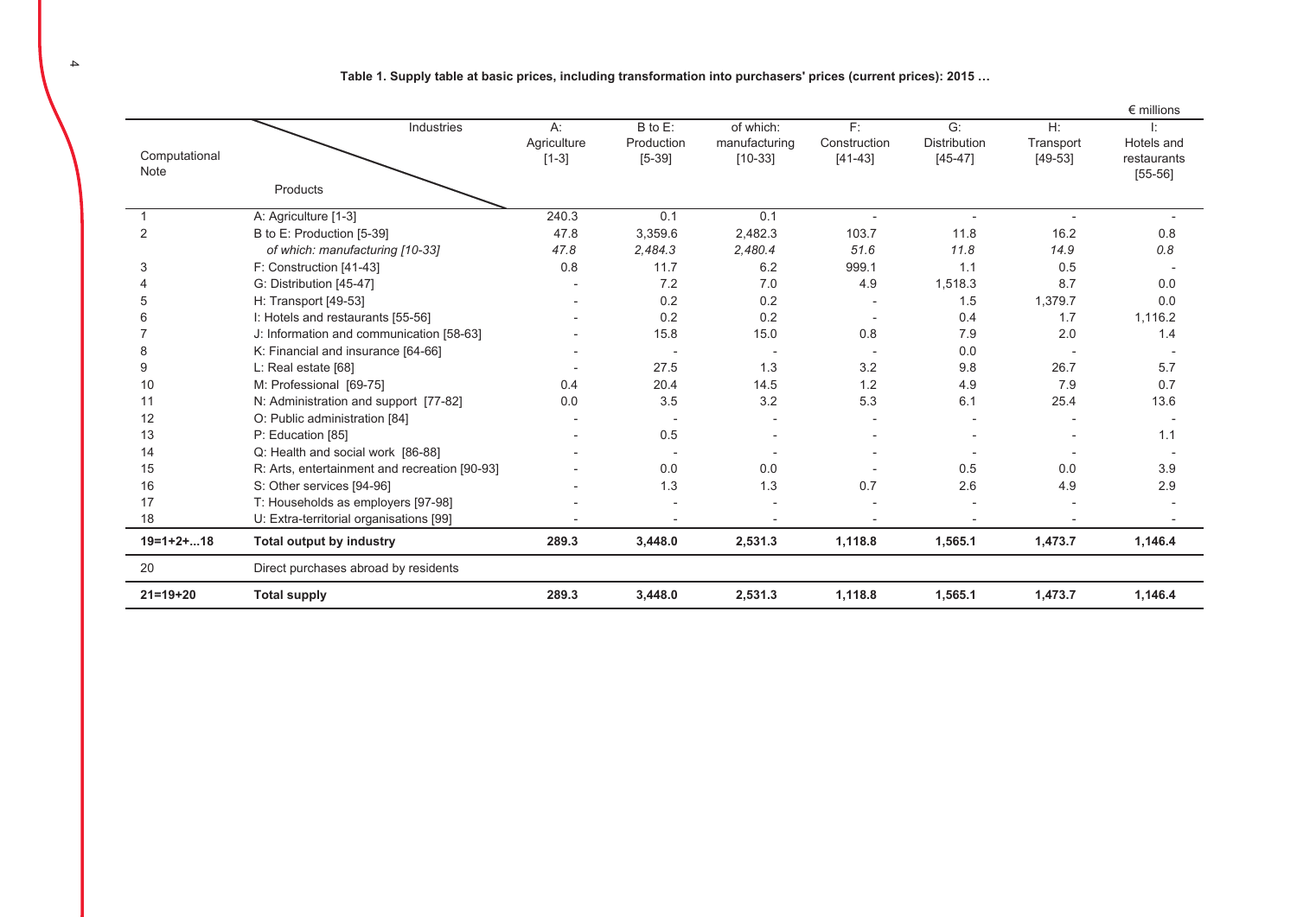Table 1. Supply table at basic prices, including transformation into purchasers' prices (current prices): 2015 …

|                       |                                               |                                 |                                   |                                         |                                 |                                        |                              | $\epsilon$ millions                    |
|-----------------------|-----------------------------------------------|---------------------------------|-----------------------------------|-----------------------------------------|---------------------------------|----------------------------------------|------------------------------|----------------------------------------|
| Computational<br>Note | Industries                                    | $A$ :<br>Agriculture<br>$[1-3]$ | B to E:<br>Production<br>$[5-39]$ | of which:<br>manufacturing<br>$[10-33]$ | F:<br>Construction<br>$[41-43]$ | G:<br><b>Distribution</b><br>$[45-47]$ | H:<br>Transport<br>$[49-53]$ | Hotels and<br>restaurants<br>$[55-56]$ |
|                       | Products                                      |                                 |                                   |                                         |                                 |                                        |                              |                                        |
|                       | A: Agriculture [1-3]                          | 240.3                           | 0.1                               | 0.1                                     | $\overline{a}$                  | $\overline{\phantom{a}}$               | $\overline{a}$               |                                        |
| 2                     | B to E: Production [5-39]                     | 47.8                            | 3,359.6                           | 2,482.3                                 | 103.7                           | 11.8                                   | 16.2                         | 0.8                                    |
|                       | of which: manufacturing [10-33]               | 47.8                            | 2,484.3                           | 2,480.4                                 | 51.6                            | 11.8                                   | 14.9                         | 0.8                                    |
| 3                     | F: Construction [41-43]                       | 0.8                             | 11.7                              | 6.2                                     | 999.1                           | 1.1                                    | 0.5                          | $\overline{\phantom{a}}$               |
|                       | G: Distribution [45-47]                       |                                 | 7.2                               | 7.0                                     | 4.9                             | 1,518.3                                | 8.7                          | 0.0                                    |
| 5                     | H: Transport [49-53]                          |                                 | 0.2                               | 0.2                                     |                                 | 1.5                                    | 1,379.7                      | 0.0                                    |
| 6                     | I: Hotels and restaurants [55-56]             |                                 | 0.2                               | 0.2                                     |                                 | 0.4                                    | 1.7                          | 1,116.2                                |
|                       | J: Information and communication [58-63]      |                                 | 15.8                              | 15.0                                    | 0.8                             | 7.9                                    | 2.0                          | 1.4                                    |
| 8                     | K: Financial and insurance [64-66]            |                                 |                                   | $\overline{\phantom{a}}$                |                                 | 0.0                                    |                              |                                        |
| 9                     | L: Real estate [68]                           |                                 | 27.5                              | 1.3                                     | 3.2                             | 9.8                                    | 26.7                         | 5.7                                    |
| 10                    | M: Professional [69-75]                       | 0.4                             | 20.4                              | 14.5                                    | 1.2                             | 4.9                                    | 7.9                          | 0.7                                    |
| 11                    | N: Administration and support [77-82]         | 0.0                             | 3.5                               | 3.2                                     | 5.3                             | 6.1                                    | 25.4                         | 13.6                                   |
| 12                    | O: Public administration [84]                 |                                 |                                   |                                         |                                 |                                        |                              |                                        |
| 13                    | P: Education [85]                             |                                 | 0.5                               |                                         |                                 |                                        |                              | 1.1                                    |
| 14                    | Q: Health and social work [86-88]             |                                 |                                   |                                         |                                 |                                        |                              |                                        |
| 15                    | R: Arts, entertainment and recreation [90-93] |                                 | 0.0                               | 0.0                                     |                                 | 0.5                                    | 0.0                          | 3.9                                    |
| 16                    | S: Other services [94-96]                     |                                 | 1.3                               | 1.3                                     | 0.7                             | 2.6                                    | 4.9                          | 2.9                                    |
| 17                    | T: Households as employers [97-98]            |                                 |                                   |                                         |                                 |                                        |                              |                                        |
| 18                    | U: Extra-territorial organisations [99]       |                                 |                                   |                                         |                                 |                                        |                              |                                        |
| $19=1+2+18$           | Total output by industry                      | 289.3                           | 3,448.0                           | 2,531.3                                 | 1,118.8                         | 1,565.1                                | 1,473.7                      | 1,146.4                                |
| 20                    | Direct purchases abroad by residents          |                                 |                                   |                                         |                                 |                                        |                              |                                        |
| $21 = 19 + 20$        | <b>Total supply</b>                           | 289.3                           | 3,448.0                           | 2,531.3                                 | 1,118.8                         | 1.565.1                                | 1,473.7                      | 1,146.4                                |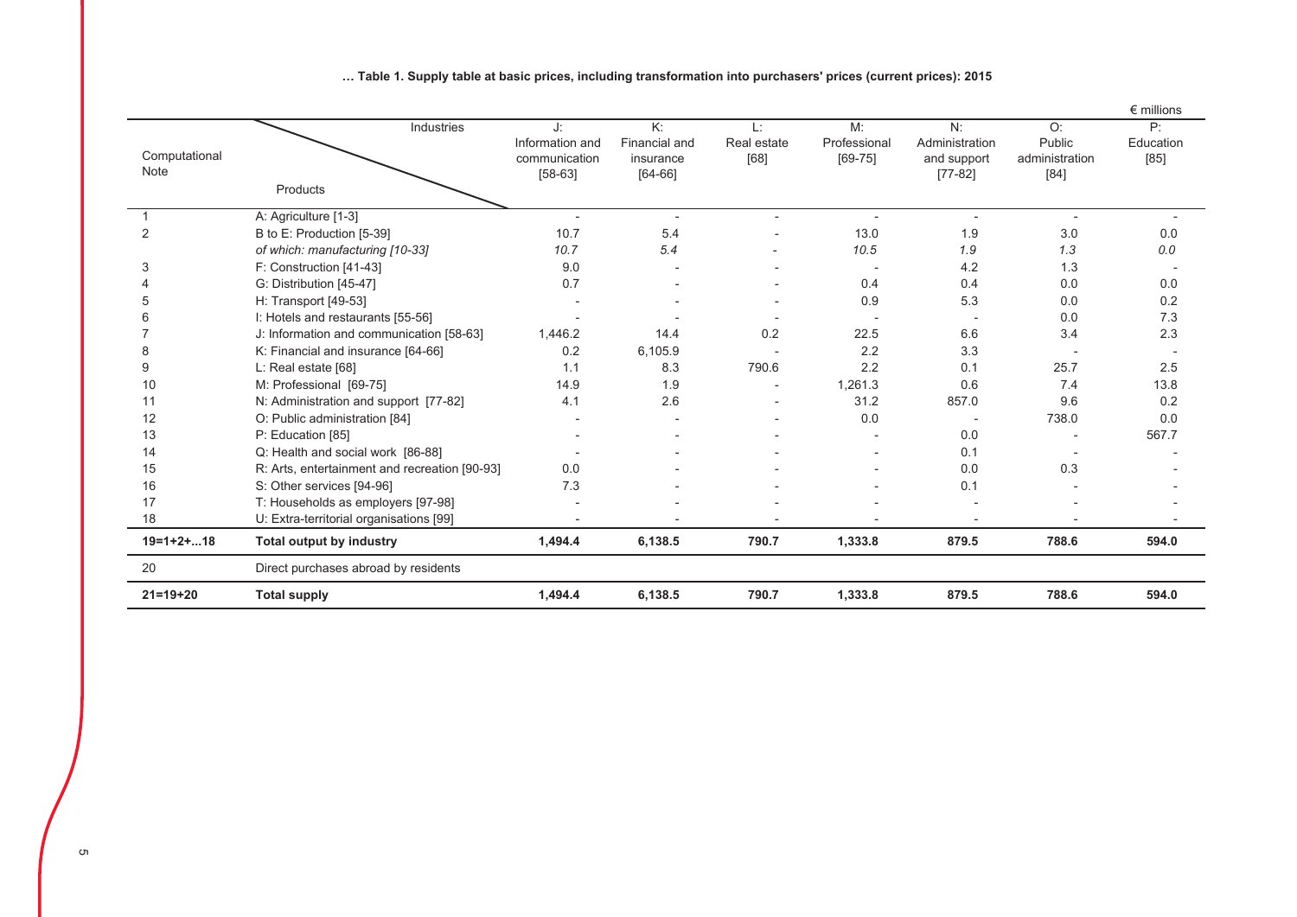|                       |                                               |                                                     |                                                      |                          |                                   |                                                  |                                          | $\epsilon$ millions       |
|-----------------------|-----------------------------------------------|-----------------------------------------------------|------------------------------------------------------|--------------------------|-----------------------------------|--------------------------------------------------|------------------------------------------|---------------------------|
| Computational<br>Note | Industries                                    | J:<br>Information and<br>communication<br>$[58-63]$ | K:<br><b>Financial and</b><br>insurance<br>$[64-66]$ | Ŀ<br>Real estate<br>[68] | M:<br>Professional<br>$[69 - 75]$ | N:<br>Administration<br>and support<br>$[77-82]$ | O:<br>Public<br>administration<br>$[84]$ | P:<br>Education<br>$[85]$ |
|                       | Products                                      |                                                     |                                                      |                          |                                   |                                                  |                                          |                           |
|                       | A: Agriculture [1-3]                          |                                                     | $\blacksquare$                                       | $\overline{\phantom{a}}$ | $\blacksquare$                    | $\blacksquare$                                   | $\overline{\phantom{a}}$                 |                           |
| 2                     | B to E: Production [5-39]                     | 10.7                                                | 5.4                                                  |                          | 13.0                              | 1.9                                              | 3.0                                      | 0.0                       |
|                       | of which: manufacturing [10-33]               | 10.7                                                | 5.4                                                  |                          | 10.5                              | 1.9                                              | 1.3                                      | 0.0                       |
| 3                     | F: Construction [41-43]                       | 9.0                                                 |                                                      |                          | $\overline{\phantom{a}}$          | 4.2                                              | 1.3                                      |                           |
|                       | G: Distribution [45-47]                       | 0.7                                                 |                                                      |                          | 0.4                               | 0.4                                              | 0.0                                      | 0.0                       |
|                       | H: Transport [49-53]                          |                                                     |                                                      |                          | 0.9                               | 5.3                                              | 0.0                                      | 0.2                       |
|                       | I: Hotels and restaurants [55-56]             |                                                     |                                                      |                          |                                   |                                                  | 0.0                                      | 7.3                       |
|                       | J: Information and communication [58-63]      | 1,446.2                                             | 14.4                                                 | 0.2                      | 22.5                              | 6.6                                              | 3.4                                      | 2.3                       |
| 8                     | K: Financial and insurance [64-66]            | 0.2                                                 | 6,105.9                                              |                          | 2.2                               | 3.3                                              |                                          |                           |
| 9                     | L: Real estate [68]                           | 1.1                                                 | 8.3                                                  | 790.6                    | 2.2                               | 0.1                                              | 25.7                                     | 2.5                       |
| 10                    | M: Professional [69-75]                       | 14.9                                                | 1.9                                                  |                          | 1,261.3                           | 0.6                                              | 7.4                                      | 13.8                      |
| 11                    | N: Administration and support [77-82]         | 4.1                                                 | 2.6                                                  |                          | 31.2                              | 857.0                                            | 9.6                                      | 0.2                       |
| 12                    | O: Public administration [84]                 |                                                     |                                                      |                          | 0.0                               |                                                  | 738.0                                    | 0.0                       |
| 13                    | P: Education [85]                             |                                                     |                                                      |                          |                                   | 0.0                                              |                                          | 567.7                     |
| 14                    | Q: Health and social work [86-88]             |                                                     |                                                      |                          |                                   | 0.1                                              |                                          |                           |
| 15                    | R: Arts, entertainment and recreation [90-93] | 0.0                                                 |                                                      |                          |                                   | 0.0                                              | 0.3                                      |                           |
| 16                    | S: Other services [94-96]                     | 7.3                                                 |                                                      |                          |                                   | 0.1                                              |                                          |                           |
| 17                    | T: Households as employers [97-98]            |                                                     |                                                      |                          |                                   |                                                  |                                          |                           |
| 18                    | U: Extra-territorial organisations [99]       |                                                     |                                                      |                          |                                   |                                                  |                                          |                           |
| $19=1+2+18$           | <b>Total output by industry</b>               | 1,494.4                                             | 6,138.5                                              | 790.7                    | 1,333.8                           | 879.5                                            | 788.6                                    | 594.0                     |
| 20                    | Direct purchases abroad by residents          |                                                     |                                                      |                          |                                   |                                                  |                                          |                           |
| $21 = 19 + 20$        | <b>Total supply</b>                           | 1,494.4                                             | 6,138.5                                              | 790.7                    | 1,333.8                           | 879.5                                            | 788.6                                    | 594.0                     |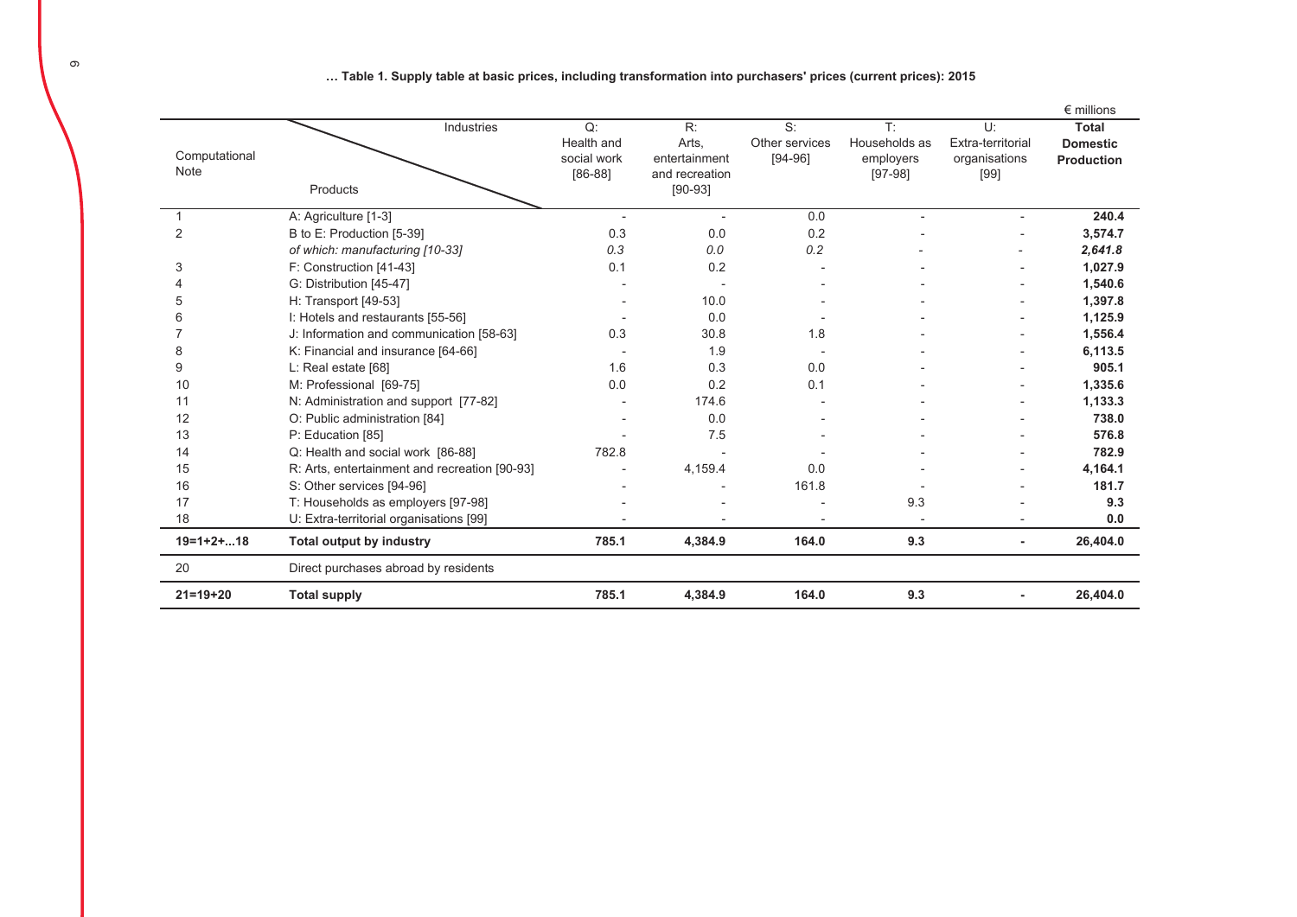... Table 1. Supply table at basic prices, including transformation into purchasers' prices (current prices): 2015

|                |                                               |                          |                                 |                |                        |                       | $\epsilon$ millions |
|----------------|-----------------------------------------------|--------------------------|---------------------------------|----------------|------------------------|-----------------------|---------------------|
|                | Industries                                    | Q:                       | R:                              | S:             | T:                     | $U^*$                 | <b>Total</b>        |
| Computational  |                                               | Health and               | Arts,                           | Other services | Households as          | Extra-territorial     | <b>Domestic</b>     |
| Note           |                                               | social work<br>$[86-88]$ | entertainment<br>and recreation | $[94-96]$      | employers<br>$[97-98]$ | organisations<br>[99] | <b>Production</b>   |
|                | Products                                      |                          | $[90-93]$                       |                |                        |                       |                     |
|                |                                               |                          |                                 |                |                        |                       |                     |
|                | A: Agriculture [1-3]                          | $\overline{\phantom{a}}$ | $\overline{\phantom{a}}$        | 0.0            | L,                     |                       | 240.4               |
| $\overline{2}$ | B to E: Production [5-39]                     | 0.3                      | 0.0                             | 0.2            |                        |                       | 3,574.7             |
|                | of which: manufacturing [10-33]               | 0.3                      | 0.0                             | 0.2            |                        |                       | 2,641.8             |
| 3              | F: Construction [41-43]                       | 0.1                      | 0.2                             |                |                        |                       | 1,027.9             |
|                | G: Distribution [45-47]                       |                          |                                 |                |                        |                       | 1,540.6             |
| 5              | H: Transport [49-53]                          |                          | 10.0                            |                |                        |                       | 1,397.8             |
|                | I: Hotels and restaurants [55-56]             |                          | 0.0                             |                |                        |                       | 1,125.9             |
|                | J: Information and communication [58-63]      | 0.3                      | 30.8                            | 1.8            |                        |                       | 1,556.4             |
| 8              | K: Financial and insurance [64-66]            |                          | 1.9                             |                |                        |                       | 6,113.5             |
| 9              | L: Real estate [68]                           | 1.6                      | 0.3                             | 0.0            |                        |                       | 905.1               |
| 10             | M: Professional [69-75]                       | 0.0                      | 0.2                             | 0.1            |                        |                       | 1,335.6             |
| 11             | N: Administration and support [77-82]         |                          | 174.6                           |                |                        |                       | 1,133.3             |
| 12             | O: Public administration [84]                 |                          | 0.0                             |                |                        |                       | 738.0               |
| 13             | P: Education [85]                             |                          | 7.5                             |                |                        |                       | 576.8               |
| 14             | Q: Health and social work [86-88]             | 782.8                    |                                 |                |                        |                       | 782.9               |
| 15             | R: Arts, entertainment and recreation [90-93] |                          | 4,159.4                         | 0.0            |                        |                       | 4,164.1             |
| 16             | S: Other services [94-96]                     |                          |                                 | 161.8          |                        |                       | 181.7               |
| 17             | T: Households as employers [97-98]            |                          |                                 |                | 9.3                    |                       | 9.3                 |
| 18             | U: Extra-territorial organisations [99]       |                          |                                 |                |                        |                       | 0.0                 |
| $19=1+2+18$    | <b>Total output by industry</b>               | 785.1                    | 4,384.9                         | 164.0          | 9.3                    |                       | 26,404.0            |
| 20             | Direct purchases abroad by residents          |                          |                                 |                |                        |                       |                     |
| $21 = 19 + 20$ | <b>Total supply</b>                           | 785.1                    | 4,384.9                         | 164.0          | 9.3                    |                       | 26,404.0            |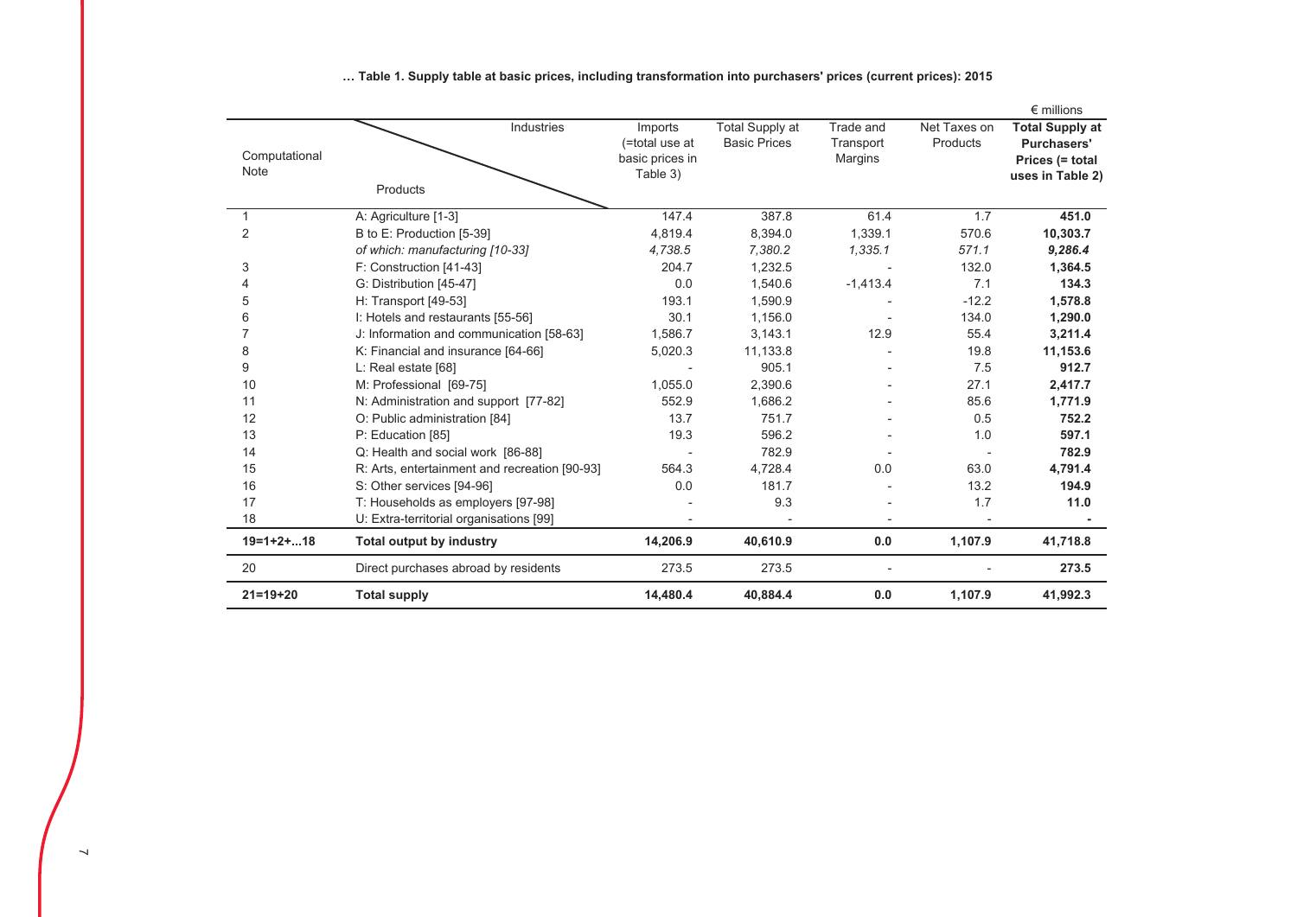|                              |                                               |                                                          |                                        |                                   |                          | $\epsilon$ millions                                                                 |
|------------------------------|-----------------------------------------------|----------------------------------------------------------|----------------------------------------|-----------------------------------|--------------------------|-------------------------------------------------------------------------------------|
| Computational<br><b>Note</b> | Industries<br>Products                        | Imports<br>(=total use at<br>basic prices in<br>Table 3) | Total Supply at<br><b>Basic Prices</b> | Trade and<br>Transport<br>Margins | Net Taxes on<br>Products | <b>Total Supply at</b><br><b>Purchasers'</b><br>Prices (= total<br>uses in Table 2) |
| 1                            | A: Agriculture [1-3]                          | 147.4                                                    | 387.8                                  | 61.4                              | 1.7                      | 451.0                                                                               |
| $\overline{2}$               | B to E: Production [5-39]                     | 4,819.4                                                  | 8,394.0                                | 1,339.1                           | 570.6                    | 10,303.7                                                                            |
|                              | of which: manufacturing [10-33]               | 4,738.5                                                  | 7,380.2                                | 1,335.1                           | 571.1                    | 9,286.4                                                                             |
| 3                            | F: Construction [41-43]                       | 204.7                                                    | 1,232.5                                |                                   | 132.0                    | 1,364.5                                                                             |
| 4                            | G: Distribution [45-47]                       | 0.0                                                      | 1,540.6                                | $-1,413.4$                        | 7.1                      | 134.3                                                                               |
| 5                            | H: Transport [49-53]                          | 193.1                                                    | 1,590.9                                |                                   | $-12.2$                  | 1,578.8                                                                             |
| 6                            | I: Hotels and restaurants [55-56]             | 30.1                                                     | 1,156.0                                |                                   | 134.0                    | 1,290.0                                                                             |
| $\overline{7}$               | J: Information and communication [58-63]      | 1,586.7                                                  | 3,143.1                                | 12.9                              | 55.4                     | 3,211.4                                                                             |
| 8                            | K: Financial and insurance [64-66]            | 5,020.3                                                  | 11,133.8                               |                                   | 19.8                     | 11,153.6                                                                            |
| 9                            | L: Real estate [68]                           |                                                          | 905.1                                  |                                   | 7.5                      | 912.7                                                                               |
| 10                           | M: Professional [69-75]                       | 1,055.0                                                  | 2,390.6                                |                                   | 27.1                     | 2,417.7                                                                             |
| 11                           | N: Administration and support [77-82]         | 552.9                                                    | 1,686.2                                |                                   | 85.6                     | 1,771.9                                                                             |
| 12                           | O: Public administration [84]                 | 13.7                                                     | 751.7                                  |                                   | 0.5                      | 752.2                                                                               |
| 13                           | P: Education [85]                             | 19.3                                                     | 596.2                                  |                                   | 1.0                      | 597.1                                                                               |
| 14                           | Q: Health and social work [86-88]             |                                                          | 782.9                                  |                                   |                          | 782.9                                                                               |
| 15                           | R: Arts, entertainment and recreation [90-93] | 564.3                                                    | 4,728.4                                | 0.0                               | 63.0                     | 4,791.4                                                                             |
| 16                           | S: Other services [94-96]                     | 0.0                                                      | 181.7                                  |                                   | 13.2                     | 194.9                                                                               |
| 17                           | T: Households as employers [97-98]            |                                                          | 9.3                                    |                                   | 1.7                      | 11.0                                                                                |
| 18                           | U: Extra-territorial organisations [99]       |                                                          |                                        |                                   |                          |                                                                                     |
| $19=1+2+18$                  | <b>Total output by industry</b>               | 14,206.9                                                 | 40,610.9                               | 0.0                               | 1,107.9                  | 41,718.8                                                                            |
| 20                           | Direct purchases abroad by residents          | 273.5                                                    | 273.5                                  |                                   |                          | 273.5                                                                               |
| $21 = 19 + 20$               | <b>Total supply</b>                           | 14,480.4                                                 | 40,884.4                               | 0.0                               | 1,107.9                  | 41,992.3                                                                            |

... Table 1. Supply table at basic prices, including transformation into purchasers' prices (current prices): 2015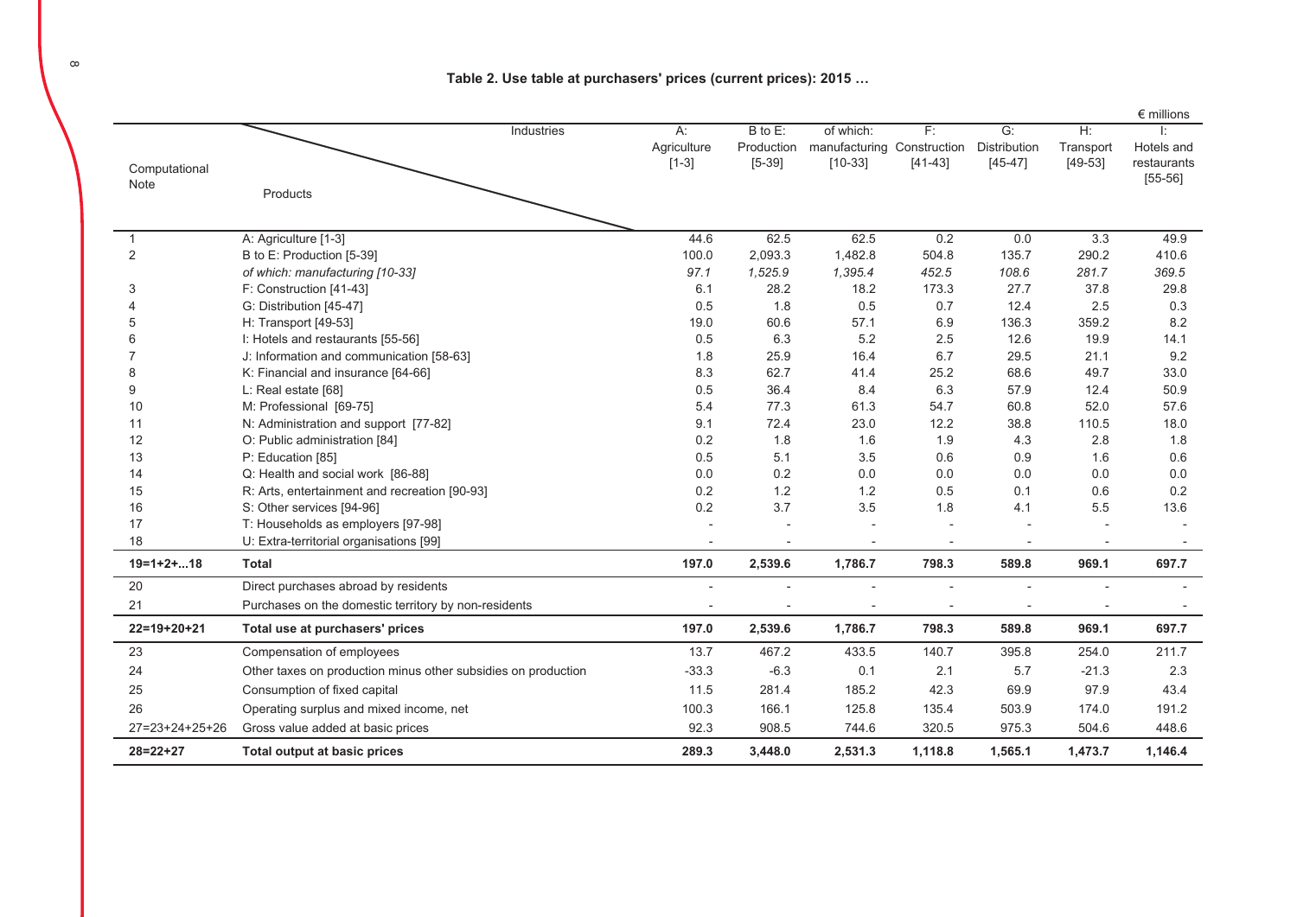Table 2. Use table at purchasers' prices (current prices): 2015 …

|                  |                                                               |             |            |                            |           |                  |           | $\epsilon$ millions |
|------------------|---------------------------------------------------------------|-------------|------------|----------------------------|-----------|------------------|-----------|---------------------|
|                  | Industries                                                    | $A$ :       | B to E:    | of which:                  | F:        | $\overline{G}$ : | H:        |                     |
|                  |                                                               | Agriculture | Production | manufacturing Construction |           | Distribution     | Transport | Hotels and          |
| Computational    |                                                               | $[1-3]$     | $[5-39]$   | $[10-33]$                  | $[41-43]$ | $[45 - 47]$      | $[49-53]$ | restaurants         |
| Note             |                                                               |             |            |                            |           |                  |           | $[55-56]$           |
|                  | Products                                                      |             |            |                            |           |                  |           |                     |
|                  |                                                               |             |            |                            |           |                  |           |                     |
| 1                | A: Agriculture [1-3]                                          | 44.6        | 62.5       | 62.5                       | 0.2       | 0.0              | 3.3       | 49.9                |
| $\sqrt{2}$       | B to E: Production [5-39]                                     | 100.0       | 2,093.3    | 1,482.8                    | 504.8     | 135.7            | 290.2     | 410.6               |
|                  | of which: manufacturing [10-33]                               | 97.1        | 1,525.9    | 1,395.4                    | 452.5     | 108.6            | 281.7     | 369.5               |
| 3                | F: Construction [41-43]                                       | 6.1         | 28.2       | 18.2                       | 173.3     | 27.7             | 37.8      | 29.8                |
|                  | G: Distribution [45-47]                                       | 0.5         | 1.8        | 0.5                        | 0.7       | 12.4             | 2.5       | 0.3                 |
| 5                | H: Transport [49-53]                                          | 19.0        | 60.6       | 57.1                       | 6.9       | 136.3            | 359.2     | 8.2                 |
| 6                | I: Hotels and restaurants [55-56]                             | 0.5         | 6.3        | 5.2                        | 2.5       | 12.6             | 19.9      | 14.1                |
|                  | J: Information and communication [58-63]                      | 1.8         | 25.9       | 16.4                       | 6.7       | 29.5             | 21.1      | 9.2                 |
| 8                | K: Financial and insurance [64-66]                            | 8.3         | 62.7       | 41.4                       | 25.2      | 68.6             | 49.7      | 33.0                |
| 9                | L: Real estate [68]                                           | 0.5         | 36.4       | 8.4                        | 6.3       | 57.9             | 12.4      | 50.9                |
| 10               | M: Professional [69-75]                                       | 5.4         | 77.3       | 61.3                       | 54.7      | 60.8             | 52.0      | 57.6                |
| 11               | N: Administration and support [77-82]                         | 9.1         | 72.4       | 23.0                       | 12.2      | 38.8             | 110.5     | 18.0                |
| 12               | O: Public administration [84]                                 | 0.2         | 1.8        | 1.6                        | 1.9       | 4.3              | 2.8       | 1.8                 |
| 13               | P: Education [85]                                             | 0.5         | 5.1        | 3.5                        | 0.6       | 0.9              | 1.6       | 0.6                 |
| 14               | Q: Health and social work [86-88]                             | 0.0         | 0.2        | 0.0                        | 0.0       | 0.0              | 0.0       | 0.0                 |
| 15               | R: Arts, entertainment and recreation [90-93]                 | 0.2         | 1.2        | 1.2                        | 0.5       | 0.1              | 0.6       | 0.2                 |
| 16               | S: Other services [94-96]                                     | 0.2         | 3.7        | 3.5                        | 1.8       | 4.1              | 5.5       | 13.6                |
| 17               | T: Households as employers [97-98]                            |             |            |                            |           |                  |           |                     |
| 18               | U: Extra-territorial organisations [99]                       |             |            |                            |           |                  |           |                     |
| $19=1+2+18$      | <b>Total</b>                                                  | 197.0       | 2,539.6    | 1,786.7                    | 798.3     | 589.8            | 969.1     | 697.7               |
| 20               | Direct purchases abroad by residents                          |             |            |                            |           |                  |           |                     |
| 21               | Purchases on the domestic territory by non-residents          |             |            |                            |           |                  |           |                     |
| $22=19+20+21$    | Total use at purchasers' prices                               | 197.0       | 2,539.6    | 1,786.7                    | 798.3     | 589.8            | 969.1     | 697.7               |
| 23               | Compensation of employees                                     | 13.7        | 467.2      | 433.5                      | 140.7     | 395.8            | 254.0     | 211.7               |
| 24               | Other taxes on production minus other subsidies on production | $-33.3$     | $-6.3$     | 0.1                        | 2.1       | 5.7              | $-21.3$   | 2.3                 |
| 25               | Consumption of fixed capital                                  | 11.5        | 281.4      | 185.2                      | 42.3      | 69.9             | 97.9      | 43.4                |
| 26               | Operating surplus and mixed income, net                       | 100.3       | 166.1      | 125.8                      | 135.4     | 503.9            | 174.0     | 191.2               |
| $27=23+24+25+26$ | Gross value added at basic prices                             | 92.3        | 908.5      | 744.6                      | 320.5     | 975.3            | 504.6     | 448.6               |
| $28 = 22 + 27$   | Total output at basic prices                                  | 289.3       | 3,448.0    | 2,531.3                    | 1,118.8   | 1,565.1          | 1,473.7   | 1,146.4             |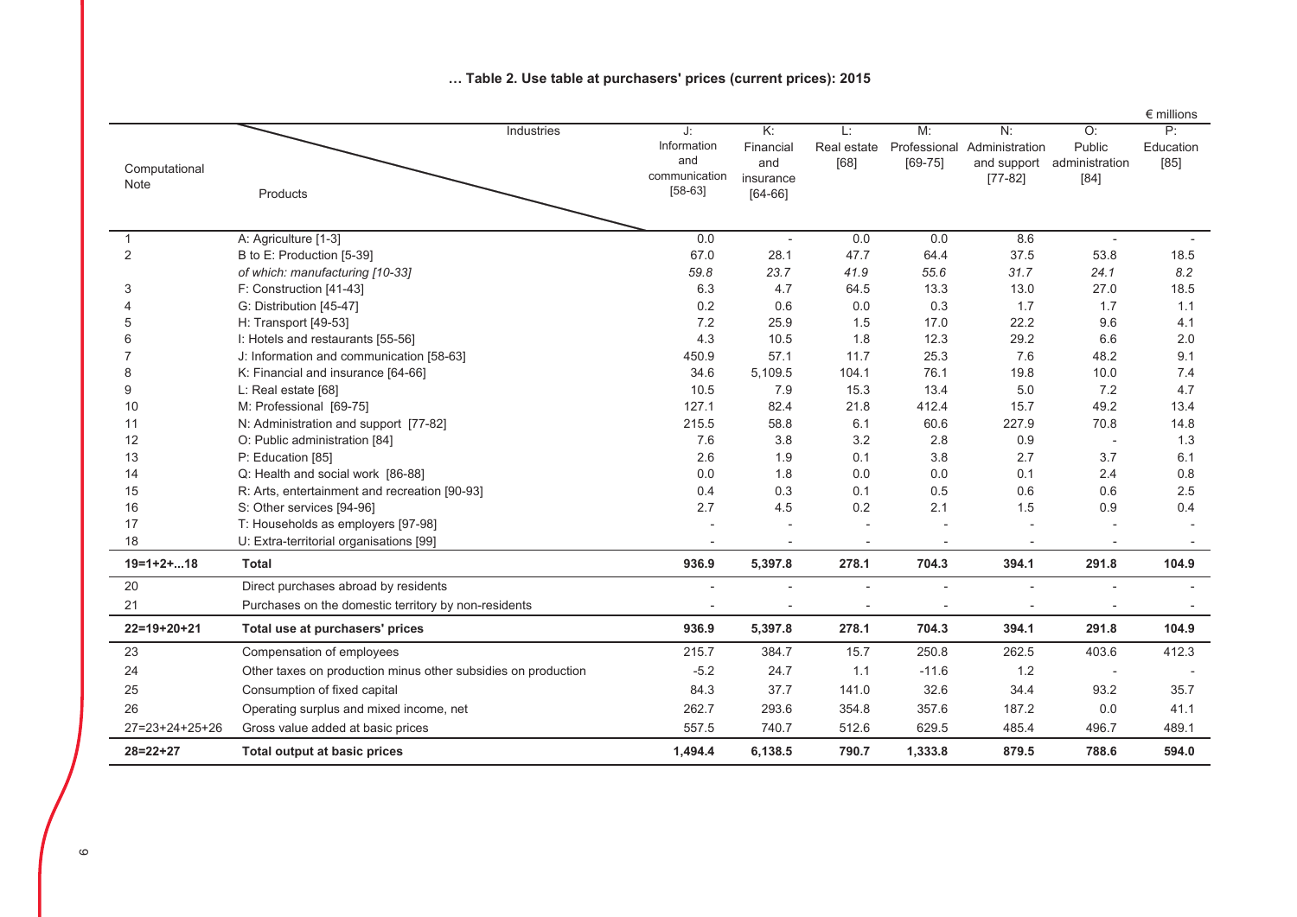|                       |                                                               |                                                        |                                                    |                           |                                   |                                                  |                                          | $\epsilon$ millions     |
|-----------------------|---------------------------------------------------------------|--------------------------------------------------------|----------------------------------------------------|---------------------------|-----------------------------------|--------------------------------------------------|------------------------------------------|-------------------------|
| Computational<br>Note | Industries<br>Products                                        | J:<br>Information<br>and<br>communication<br>$[58-63]$ | K:<br>Financial<br>and<br>insurance<br>$[64 - 66]$ | L:<br>Real estate<br>[68] | M:<br>Professional<br>$[69 - 75]$ | N:<br>Administration<br>and support<br>$[77-82]$ | O:<br>Public<br>administration<br>$[84]$ | P:<br>Education<br>[85] |
|                       |                                                               |                                                        |                                                    |                           |                                   |                                                  |                                          |                         |
| 1                     | A: Agriculture [1-3]                                          | 0.0                                                    |                                                    | 0.0                       | 0.0                               | 8.6                                              |                                          |                         |
| $\overline{2}$        | B to E: Production [5-39]                                     | 67.0                                                   | 28.1                                               | 47.7                      | 64.4                              | 37.5                                             | 53.8                                     | 18.5                    |
|                       | of which: manufacturing [10-33]                               | 59.8                                                   | 23.7                                               | 41.9                      | 55.6                              | 31.7                                             | 24.1                                     | 8.2                     |
| 3                     | F: Construction [41-43]                                       | 6.3                                                    | 4.7                                                | 64.5                      | 13.3                              | 13.0                                             | 27.0                                     | 18.5                    |
|                       | G: Distribution [45-47]                                       | 0.2                                                    | 0.6                                                | 0.0                       | 0.3                               | 1.7                                              | 1.7                                      | 1.1                     |
| 5                     | H: Transport [49-53]                                          | 7.2                                                    | 25.9                                               | 1.5                       | 17.0                              | 22.2                                             | 9.6                                      | 4.1                     |
|                       | I: Hotels and restaurants [55-56]                             | 4.3                                                    | 10.5                                               | 1.8                       | 12.3                              | 29.2                                             | 6.6                                      | 2.0                     |
|                       | J: Information and communication [58-63]                      | 450.9                                                  | 57.1                                               | 11.7                      | 25.3                              | 7.6                                              | 48.2                                     | 9.1                     |
| 8                     | K: Financial and insurance [64-66]                            | 34.6                                                   | 5,109.5                                            | 104.1                     | 76.1                              | 19.8                                             | 10.0                                     | 7.4                     |
| 9                     | L: Real estate [68]                                           | 10.5                                                   | 7.9                                                | 15.3                      | 13.4                              | 5.0                                              | 7.2                                      | 4.7                     |
| 10                    | M: Professional [69-75]                                       | 127.1                                                  | 82.4                                               | 21.8                      | 412.4                             | 15.7                                             | 49.2                                     | 13.4                    |
| 11                    | N: Administration and support [77-82]                         | 215.5                                                  | 58.8                                               | 6.1                       | 60.6                              | 227.9                                            | 70.8                                     | 14.8                    |
| 12                    | O: Public administration [84]                                 | 7.6                                                    | 3.8                                                | 3.2                       | 2.8                               | 0.9                                              | $\overline{\phantom{a}}$                 | 1.3                     |
| 13                    | P: Education [85]                                             | 2.6                                                    | 1.9                                                | 0.1                       | 3.8                               | 2.7                                              | 3.7                                      | 6.1                     |
| 14                    | Q: Health and social work [86-88]                             | 0.0                                                    | 1.8                                                | 0.0                       | 0.0                               | 0.1                                              | 2.4                                      | $0.8\,$                 |
| 15                    | R: Arts, entertainment and recreation [90-93]                 | 0.4                                                    | 0.3                                                | 0.1                       | 0.5                               | 0.6                                              | 0.6                                      | 2.5                     |
| 16                    | S: Other services [94-96]                                     | 2.7                                                    | 4.5                                                | 0.2                       | 2.1                               | 1.5                                              | 0.9                                      | 0.4                     |
| 17                    | T: Households as employers [97-98]                            |                                                        |                                                    |                           |                                   |                                                  |                                          |                         |
| 18                    | U: Extra-territorial organisations [99]                       |                                                        |                                                    |                           |                                   |                                                  |                                          |                         |
| $19=1+2+18$           | <b>Total</b>                                                  | 936.9                                                  | 5,397.8                                            | 278.1                     | 704.3                             | 394.1                                            | 291.8                                    | 104.9                   |
| 20                    | Direct purchases abroad by residents                          |                                                        |                                                    |                           |                                   |                                                  |                                          |                         |
| 21                    | Purchases on the domestic territory by non-residents          |                                                        |                                                    |                           |                                   |                                                  |                                          |                         |
| $22=19+20+21$         | Total use at purchasers' prices                               | 936.9                                                  | 5,397.8                                            | 278.1                     | 704.3                             | 394.1                                            | 291.8                                    | 104.9                   |
| 23                    | Compensation of employees                                     | 215.7                                                  | 384.7                                              | 15.7                      | 250.8                             | 262.5                                            | 403.6                                    | 412.3                   |
| 24                    | Other taxes on production minus other subsidies on production | $-5.2$                                                 | 24.7                                               | 1.1                       | $-11.6$                           | 1.2                                              |                                          |                         |
| 25                    | Consumption of fixed capital                                  | 84.3                                                   | 37.7                                               | 141.0                     | 32.6                              | 34.4                                             | 93.2                                     | 35.7                    |
| 26                    | Operating surplus and mixed income, net                       | 262.7                                                  | 293.6                                              | 354.8                     | 357.6                             | 187.2                                            | 0.0                                      | 41.1                    |
| $27=23+24+25+26$      | Gross value added at basic prices                             | 557.5                                                  | 740.7                                              | 512.6                     | 629.5                             | 485.4                                            | 496.7                                    | 489.1                   |
| $28 = 22 + 27$        | Total output at basic prices                                  | 1,494.4                                                | 6,138.5                                            | 790.7                     | 1,333.8                           | 879.5                                            | 788.6                                    | 594.0                   |

#### ... Table 2. Use table at purchasers' prices (current prices): 2015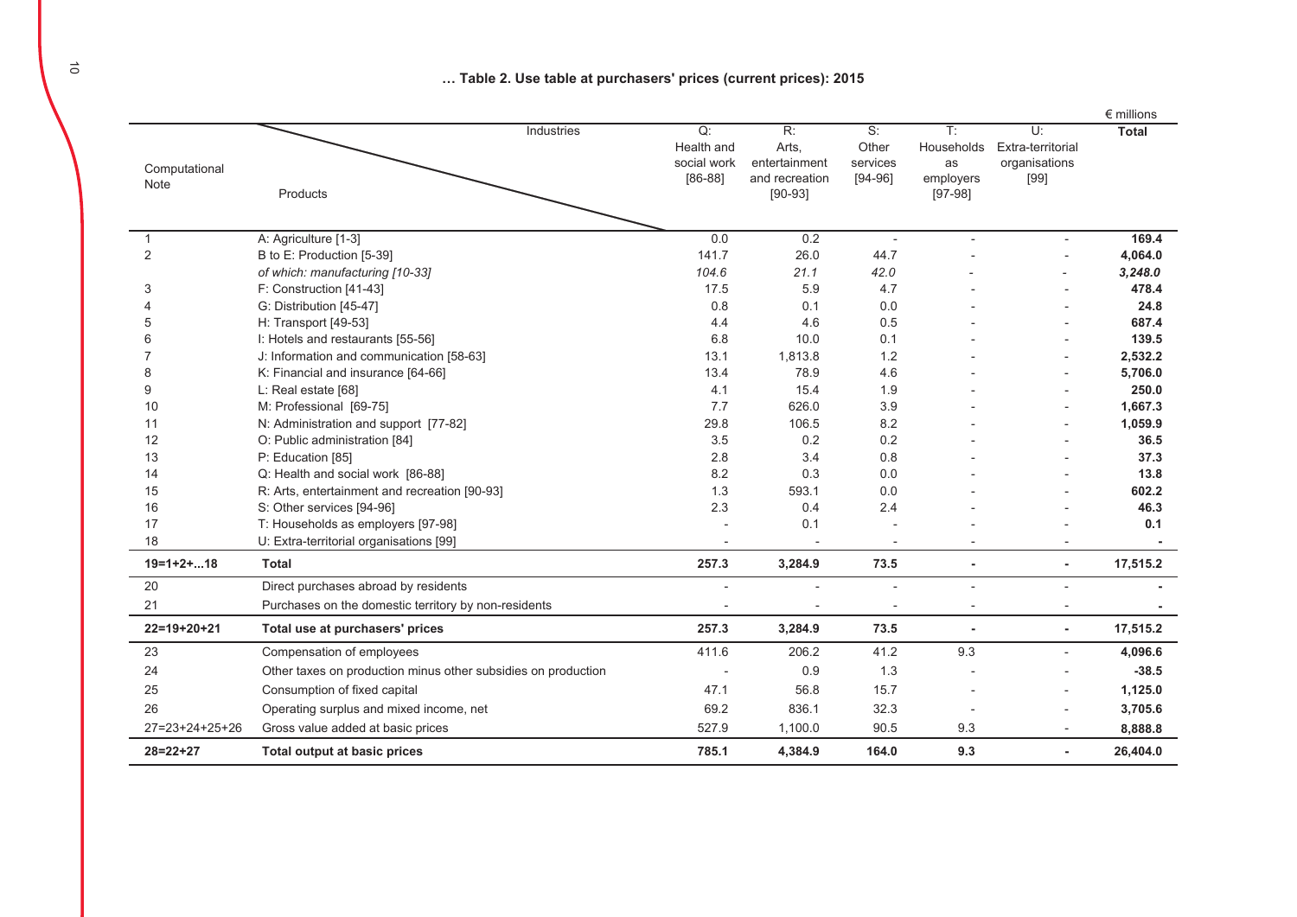... Table 2. Use table at purchasers' prices (current prices): 2015

|                          |                                                               |                |                             |                          |                        |                          | $\epsilon$ millions |
|--------------------------|---------------------------------------------------------------|----------------|-----------------------------|--------------------------|------------------------|--------------------------|---------------------|
|                          | Industries                                                    | Q:             | R:                          | S:                       | $\overline{T}$ :       | U:                       | <b>Total</b>        |
|                          |                                                               | Health and     | Arts,                       | Other                    | Households             | Extra-territorial        |                     |
| Computational            |                                                               | social work    | entertainment               | services                 | as                     | organisations            |                     |
| Note                     | Products                                                      | $[86-88]$      | and recreation<br>$[90-93]$ | $[94-96]$                | employers<br>$[97-98]$ | $[99]$                   |                     |
|                          |                                                               |                |                             |                          |                        |                          |                     |
|                          |                                                               |                |                             |                          |                        |                          |                     |
| 1                        | A: Agriculture [1-3]                                          | 0.0            | 0.2                         | $\overline{\phantom{a}}$ |                        |                          | 169.4               |
| 2                        | B to E: Production [5-39]                                     | 141.7          | 26.0                        | 44.7                     |                        |                          | 4,064.0             |
|                          | of which: manufacturing [10-33]                               | 104.6          | 21.1                        | 42.0                     |                        |                          | 3,248.0             |
| 3                        | F: Construction [41-43]                                       | 17.5           | 5.9                         | 4.7                      |                        |                          | 478.4               |
| 4                        | G: Distribution [45-47]                                       | 0.8            | 0.1                         | 0.0                      |                        |                          | 24.8                |
| 5                        | H: Transport [49-53]                                          | 4.4            | 4.6                         | 0.5                      |                        |                          | 687.4               |
| 6                        | I: Hotels and restaurants [55-56]                             | 6.8            | 10.0                        | 0.1                      |                        |                          | 139.5               |
|                          | J: Information and communication [58-63]                      | 13.1           | 1,813.8                     | 1.2                      |                        |                          | 2,532.2             |
| 8                        | K: Financial and insurance [64-66]                            | 13.4           | 78.9                        | 4.6                      |                        |                          | 5,706.0             |
| 9                        | L: Real estate [68]                                           | 4.1            | 15.4                        | 1.9                      |                        |                          | 250.0               |
| 10                       | M: Professional [69-75]                                       | 7.7            | 626.0                       | 3.9                      |                        |                          | 1,667.3             |
| 11                       | N: Administration and support [77-82]                         | 29.8           | 106.5                       | 8.2                      |                        |                          | 1,059.9             |
| 12                       | O: Public administration [84]                                 | 3.5            | 0.2                         | 0.2                      |                        |                          | 36.5                |
| 13                       | P: Education [85]                                             | 2.8            | 3.4                         | 0.8                      |                        |                          | 37.3                |
| 14                       | Q: Health and social work [86-88]                             | 8.2            | 0.3                         | 0.0                      |                        |                          | 13.8                |
| 15                       | R: Arts, entertainment and recreation [90-93]                 | 1.3            | 593.1                       | 0.0                      |                        |                          | 602.2               |
| 16                       | S: Other services [94-96]                                     | 2.3            | 0.4                         | 2.4                      |                        |                          | 46.3                |
| 17                       | T: Households as employers [97-98]                            | $\overline{a}$ | 0.1                         |                          |                        |                          | 0.1                 |
| 18                       | U: Extra-territorial organisations [99]                       |                |                             |                          |                        |                          |                     |
| $19=1+2+18$              | <b>Total</b>                                                  | 257.3          | 3,284.9                     | 73.5                     | ×                      | $\blacksquare$           | 17,515.2            |
| 20                       | Direct purchases abroad by residents                          |                |                             | $\overline{\phantom{a}}$ |                        | $\overline{a}$           |                     |
| 21                       | Purchases on the domestic territory by non-residents          |                |                             |                          |                        |                          |                     |
| $22=19+20+21$            | Total use at purchasers' prices                               | 257.3          | 3,284.9                     | 73.5                     |                        | ٠                        | 17,515.2            |
| 23                       | Compensation of employees                                     | 411.6          | 206.2                       | 41.2                     | 9.3                    | $\overline{\phantom{a}}$ | 4,096.6             |
| 24                       | Other taxes on production minus other subsidies on production |                | 0.9                         | 1.3                      |                        |                          | $-38.5$             |
| 25                       | Consumption of fixed capital                                  | 47.1           | 56.8                        | 15.7                     |                        |                          | 1,125.0             |
| 26                       | Operating surplus and mixed income, net                       | 69.2           | 836.1                       | 32.3                     |                        |                          | 3,705.6             |
| $27 = 23 + 24 + 25 + 26$ | Gross value added at basic prices                             | 527.9          | 1,100.0                     | 90.5                     | 9.3                    |                          | 8,888.8             |
| $28 = 22 + 27$           | <b>Total output at basic prices</b>                           | 785.1          | 4,384.9                     | 164.0                    | 9.3                    | ٠                        | 26,404.0            |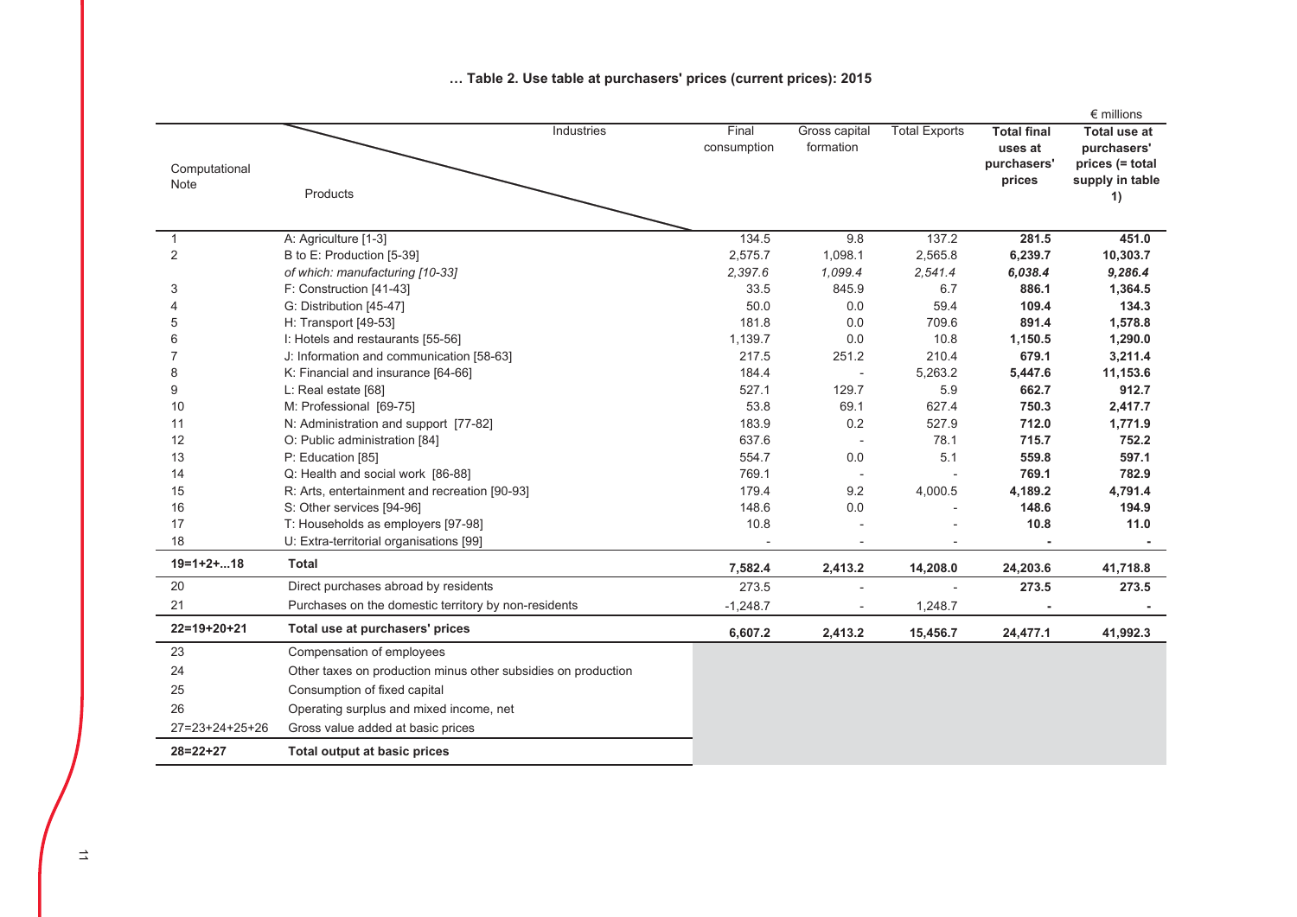|                |                                                               |                      |                            |                      |                               | $\epsilon$ millions                |
|----------------|---------------------------------------------------------------|----------------------|----------------------------|----------------------|-------------------------------|------------------------------------|
|                | Industries                                                    | Final<br>consumption | Gross capital<br>formation | <b>Total Exports</b> | <b>Total final</b><br>uses at | <b>Total use at</b><br>purchasers' |
| Computational  |                                                               |                      |                            |                      | purchasers'                   | prices (= total                    |
| Note           | Products                                                      |                      |                            |                      | prices                        | supply in table                    |
|                |                                                               |                      |                            |                      |                               | 1)                                 |
| $\mathbf{1}$   | A: Agriculture [1-3]                                          | 134.5                | 9.8                        | 137.2                | 281.5                         | 451.0                              |
| $\overline{2}$ | B to E: Production [5-39]                                     | 2,575.7              | 1,098.1                    | 2,565.8              | 6,239.7                       | 10,303.7                           |
|                | of which: manufacturing [10-33]                               | 2,397.6              | 1,099.4                    | 2,541.4              | 6,038.4                       | 9,286.4                            |
| 3              | F: Construction [41-43]                                       | 33.5                 | 845.9                      | 6.7                  | 886.1                         | 1,364.5                            |
| 4              | G: Distribution [45-47]                                       | 50.0                 | 0.0                        | 59.4                 | 109.4                         | 134.3                              |
| 5              | H: Transport [49-53]                                          | 181.8                | 0.0                        | 709.6                | 891.4                         | 1,578.8                            |
| 6              | I: Hotels and restaurants [55-56]                             | 1,139.7              | 0.0                        | 10.8                 | 1,150.5                       | 1,290.0                            |
| 7              | J: Information and communication [58-63]                      | 217.5                | 251.2                      | 210.4                | 679.1                         | 3,211.4                            |
| 8              | K: Financial and insurance [64-66]                            | 184.4                |                            | 5,263.2              | 5,447.6                       | 11,153.6                           |
| 9              | L: Real estate [68]                                           | 527.1                | 129.7                      | 5.9                  | 662.7                         | 912.7                              |
| 10             | M: Professional [69-75]                                       | 53.8                 | 69.1                       | 627.4                | 750.3                         | 2,417.7                            |
| 11             | N: Administration and support [77-82]                         | 183.9                | 0.2                        | 527.9                | 712.0                         | 1,771.9                            |
| 12             | O: Public administration [84]                                 | 637.6                |                            | 78.1                 | 715.7                         | 752.2                              |
| 13             | P: Education [85]                                             | 554.7                | 0.0                        | 5.1                  | 559.8                         | 597.1                              |
| 14             | Q: Health and social work [86-88]                             | 769.1                |                            |                      | 769.1                         | 782.9                              |
| 15             | R: Arts, entertainment and recreation [90-93]                 | 179.4                | 9.2                        | 4,000.5              | 4,189.2                       | 4,791.4                            |
| 16             | S: Other services [94-96]                                     | 148.6                | 0.0                        |                      | 148.6                         | 194.9                              |
| 17             | T: Households as employers [97-98]                            | 10.8                 |                            |                      | 10.8                          | 11.0                               |
| 18             | U: Extra-territorial organisations [99]                       |                      |                            |                      |                               |                                    |
| $19=1+2+18$    | <b>Total</b>                                                  | 7,582.4              | 2,413.2                    | 14,208.0             | 24,203.6                      | 41,718.8                           |
| 20             | Direct purchases abroad by residents                          | 273.5                |                            |                      | 273.5                         | 273.5                              |
| 21             | Purchases on the domestic territory by non-residents          | $-1,248.7$           |                            | 1,248.7              |                               |                                    |
| 22=19+20+21    | Total use at purchasers' prices                               | 6,607.2              | 2,413.2                    | 15,456.7             | 24,477.1                      | 41,992.3                           |
| 23             | Compensation of employees                                     |                      |                            |                      |                               |                                    |
| 24             | Other taxes on production minus other subsidies on production |                      |                            |                      |                               |                                    |
| 25             | Consumption of fixed capital                                  |                      |                            |                      |                               |                                    |
| 26             | Operating surplus and mixed income, net                       |                      |                            |                      |                               |                                    |
| 27=23+24+25+26 | Gross value added at basic prices                             |                      |                            |                      |                               |                                    |
| $28 = 22 + 27$ | Total output at basic prices                                  |                      |                            |                      |                               |                                    |
|                |                                                               |                      |                            |                      |                               |                                    |

#### ... Table 2. Use table at purchasers' prices (current prices): 2015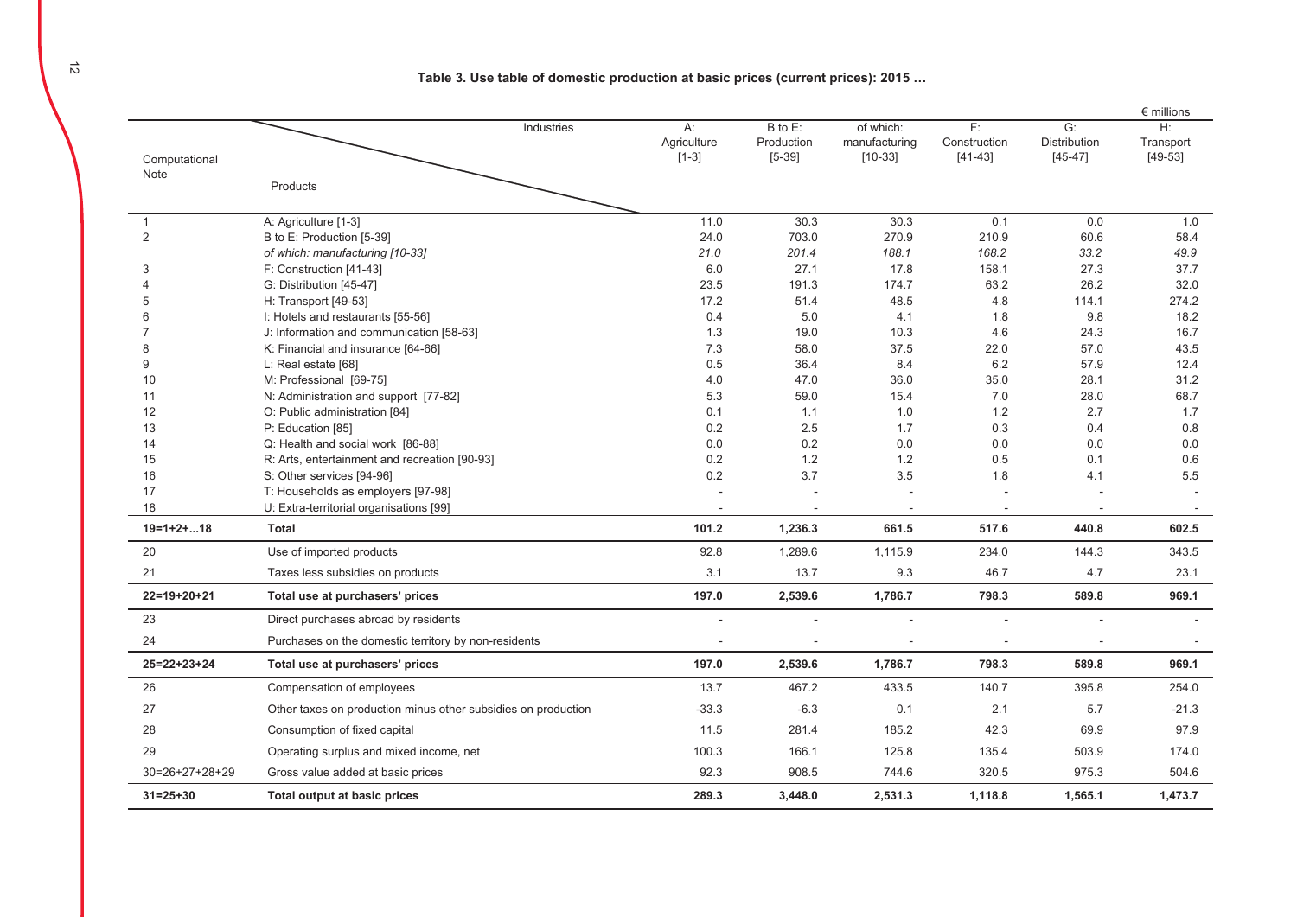Table 3. Use table of domestic production at basic prices (current prices): 2015 ...

|                     |                                                                 |                                 |                                        |                                         |                                 |                                 | $\epsilon$ millions          |
|---------------------|-----------------------------------------------------------------|---------------------------------|----------------------------------------|-----------------------------------------|---------------------------------|---------------------------------|------------------------------|
| Computational       | Industries                                                      | $A$ :<br>Agriculture<br>$[1-3]$ | $B$ to $E$ :<br>Production<br>$[5-39]$ | of which:<br>manufacturing<br>$[10-33]$ | F:<br>Construction<br>$[41-43]$ | G:<br>Distribution<br>$[45-47]$ | H:<br>Transport<br>$[49-53]$ |
| Note                |                                                                 |                                 |                                        |                                         |                                 |                                 |                              |
|                     | Products                                                        |                                 |                                        |                                         |                                 |                                 |                              |
| $\mathbf{1}$        | A: Agriculture [1-3]                                            | 11.0                            | 30.3                                   | 30.3                                    | 0.1                             | 0.0                             | 1.0                          |
| $\overline{2}$      | B to E: Production [5-39]                                       | 24.0                            | 703.0                                  | 270.9                                   | 210.9                           | 60.6                            | 58.4                         |
|                     | of which: manufacturing [10-33]                                 | 21.0                            | 201.4                                  | 188.1                                   | 168.2                           | 33.2                            | 49.9                         |
| 3                   | F: Construction [41-43]                                         | 6.0                             | 27.1                                   | 17.8                                    | 158.1                           | 27.3                            | 37.7                         |
|                     | G: Distribution [45-47]                                         | 23.5                            | 191.3                                  | 174.7                                   | 63.2                            | 26.2                            | 32.0                         |
| 5                   | H: Transport [49-53]                                            | 17.2                            | 51.4                                   | 48.5                                    | 4.8                             | 114.1                           | 274.2                        |
| 6                   | I: Hotels and restaurants [55-56]                               | 0.4                             | 5.0                                    | 4.1                                     | 1.8                             | 9.8                             | 18.2                         |
|                     | J: Information and communication [58-63]                        | 1.3                             | 19.0                                   | 10.3                                    | 4.6                             | 24.3                            | 16.7                         |
| 8                   | K: Financial and insurance [64-66]                              | 7.3                             | 58.0                                   | 37.5                                    | 22.0                            | 57.0                            | 43.5                         |
| 9                   | L: Real estate [68]                                             | 0.5                             | 36.4                                   | 8.4                                     | $6.2\,$                         | 57.9                            | 12.4                         |
| 10                  | M: Professional [69-75]                                         | 4.0                             | 47.0                                   | 36.0                                    | 35.0                            | 28.1                            | 31.2                         |
| 11                  | N: Administration and support [77-82]                           | 5.3                             | 59.0                                   | 15.4                                    | 7.0                             | 28.0                            | 68.7                         |
| 12                  | O: Public administration [84]                                   | 0.1                             | 1.1                                    | 1.0                                     | 1.2                             | 2.7                             | 1.7                          |
| 13                  | P: Education [85]                                               | 0.2                             | 2.5                                    | 1.7                                     | 0.3                             | 0.4                             | 0.8                          |
| 14                  | Q: Health and social work [86-88]                               | 0.0                             | 0.2                                    | 0.0                                     | 0.0                             | 0.0                             | 0.0                          |
| 15                  | R: Arts, entertainment and recreation [90-93]                   | 0.2                             | 1.2                                    | 1.2                                     | 0.5                             | 0.1                             | 0.6                          |
| 16<br>17            | S: Other services [94-96]<br>T: Households as employers [97-98] | 0.2                             | 3.7                                    | 3.5                                     | 1.8                             | 4.1                             | 5.5                          |
| 18                  | U: Extra-territorial organisations [99]                         |                                 |                                        |                                         |                                 |                                 |                              |
| $19=1+2+18$         | <b>Total</b>                                                    | 101.2                           | 1,236.3                                | 661.5                                   | 517.6                           | 440.8                           | 602.5                        |
| 20                  | Use of imported products                                        | 92.8                            | 1,289.6                                |                                         | 234.0                           | 144.3                           | 343.5                        |
| 21                  |                                                                 | 3.1                             |                                        | 1,115.9                                 |                                 |                                 |                              |
|                     | Taxes less subsidies on products                                |                                 | 13.7                                   | 9.3                                     | 46.7                            | 4.7                             | 23.1                         |
| $22=19+20+21$       | Total use at purchasers' prices                                 | 197.0                           | 2,539.6                                | 1,786.7                                 | 798.3                           | 589.8                           | 969.1                        |
| 23                  | Direct purchases abroad by residents                            |                                 |                                        |                                         |                                 |                                 |                              |
| 24                  | Purchases on the domestic territory by non-residents            |                                 |                                        |                                         |                                 |                                 |                              |
| $25 = 22 + 23 + 24$ | Total use at purchasers' prices                                 | 197.0                           | 2,539.6                                | 1,786.7                                 | 798.3                           | 589.8                           | 969.1                        |
| 26                  | Compensation of employees                                       | 13.7                            | 467.2                                  | 433.5                                   | 140.7                           | 395.8                           | 254.0                        |
| 27                  | Other taxes on production minus other subsidies on production   | $-33.3$                         | $-6.3$                                 | 0.1                                     | 2.1                             | 5.7                             | $-21.3$                      |
| 28                  | Consumption of fixed capital                                    | 11.5                            | 281.4                                  | 185.2                                   | 42.3                            | 69.9                            | 97.9                         |
| 29                  | Operating surplus and mixed income, net                         | 100.3                           | 166.1                                  | 125.8                                   | 135.4                           | 503.9                           | 174.0                        |
| $30=26+27+28+29$    | Gross value added at basic prices                               | 92.3                            | 908.5                                  | 744.6                                   | 320.5                           | 975.3                           | 504.6                        |
| $31 = 25 + 30$      | Total output at basic prices                                    | 289.3                           | 3.448.0                                | 2,531.3                                 | 1,118.8                         | 1,565.1                         | 1,473.7                      |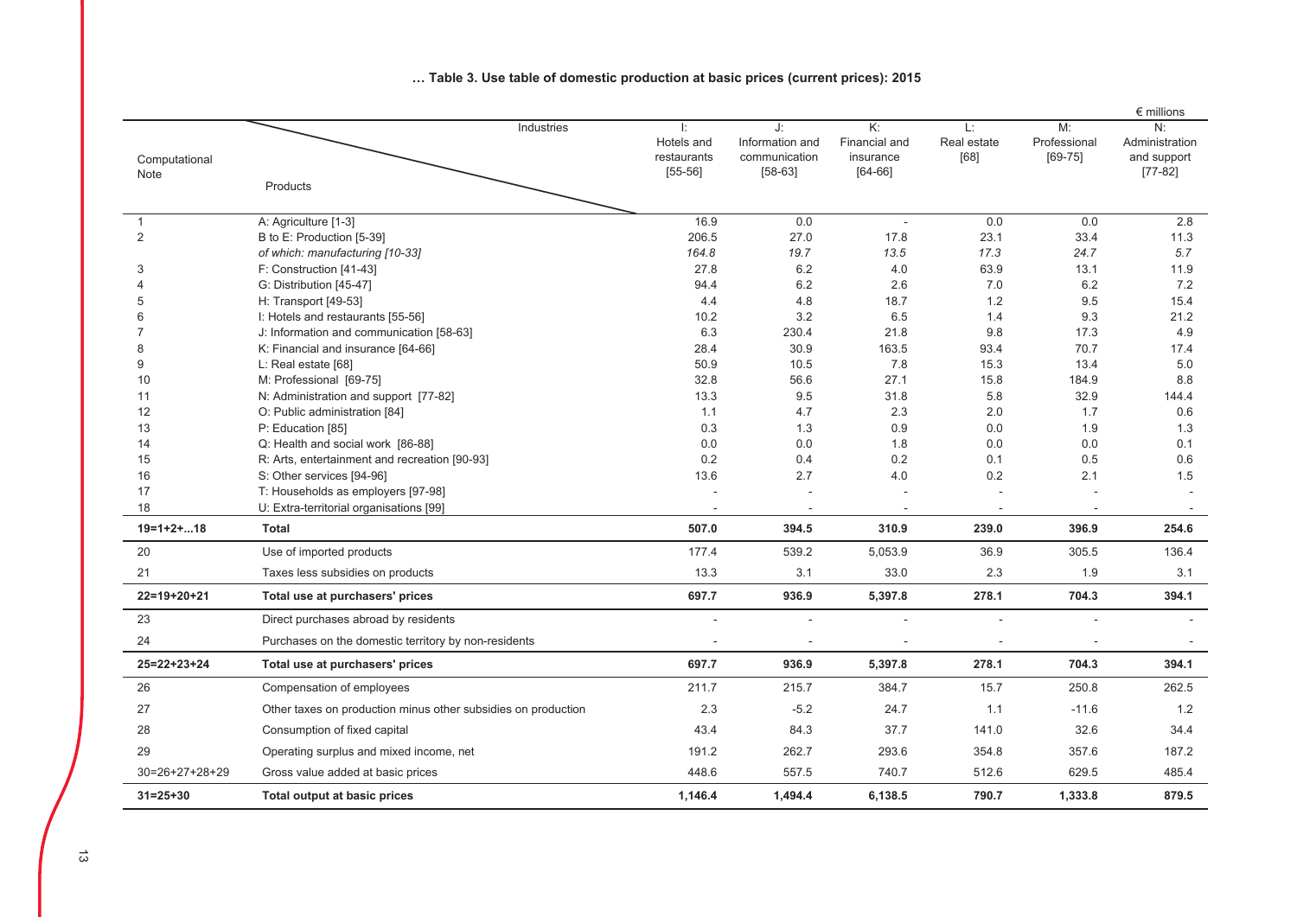|                       |                                                                        |                                              |                                                     |                                                                      |                           |                                   | $\epsilon$ millions                              |
|-----------------------|------------------------------------------------------------------------|----------------------------------------------|-----------------------------------------------------|----------------------------------------------------------------------|---------------------------|-----------------------------------|--------------------------------------------------|
| Computational<br>Note | Industries                                                             | Ŀ.<br>Hotels and<br>restaurants<br>$[55-56]$ | J:<br>Information and<br>communication<br>$[58-63]$ | $\overline{\mathsf{K}}$ :<br>Financial and<br>insurance<br>$[64-66]$ | Ŀ.<br>Real estate<br>[68] | M:<br>Professional<br>$[69 - 75]$ | N:<br>Administration<br>and support<br>$[77-82]$ |
|                       | Products                                                               |                                              |                                                     |                                                                      |                           |                                   |                                                  |
| $\mathbf{1}$          | A: Agriculture [1-3]                                                   | 16.9                                         | 0.0                                                 | ÷.                                                                   | 0.0                       | 0.0                               | 2.8                                              |
| 2                     | B to E: Production [5-39]                                              | 206.5                                        | 27.0                                                | 17.8                                                                 | 23.1                      | 33.4                              | 11.3                                             |
|                       | of which: manufacturing [10-33]                                        | 164.8                                        | 19.7                                                | 13.5                                                                 | 17.3                      | 24.7                              | 5.7                                              |
| 3                     | F: Construction [41-43]                                                | 27.8                                         | 6.2                                                 | 4.0                                                                  | 63.9                      | 13.1                              | 11.9                                             |
|                       | G: Distribution [45-47]                                                | 94.4                                         | 6.2                                                 | 2.6                                                                  | 7.0                       | 6.2                               | 7.2                                              |
| 5                     | H: Transport [49-53]                                                   | 4.4                                          | 4.8                                                 | 18.7                                                                 | 1.2                       | 9.5                               | 15.4                                             |
| 6                     | I: Hotels and restaurants [55-56]                                      | 10.2                                         | 3.2                                                 | 6.5                                                                  | 1.4                       | 9.3                               | 21.2                                             |
|                       | J: Information and communication [58-63]                               | 6.3                                          | 230.4                                               | 21.8                                                                 | 9.8                       | 17.3                              | 4.9                                              |
| 8                     | K: Financial and insurance [64-66]                                     | 28.4                                         | 30.9                                                | 163.5                                                                | 93.4                      | 70.7                              | 17.4                                             |
| 9                     | L: Real estate $[68]$                                                  | 50.9                                         | 10.5                                                | 7.8                                                                  | 15.3                      | 13.4                              | 5.0                                              |
| 10                    | M: Professional [69-75]                                                | 32.8                                         | 56.6                                                | 27.1                                                                 | 15.8                      | 184.9                             | 8.8                                              |
| 11<br>12              | N: Administration and support [77-82]<br>O: Public administration [84] | 13.3<br>1.1                                  | 9.5<br>4.7                                          | 31.8<br>2.3                                                          | 5.8<br>2.0                | 32.9<br>1.7                       | 144.4<br>0.6                                     |
| 13                    |                                                                        | 0.3                                          | 1.3                                                 | 0.9                                                                  | 0.0                       | 1.9                               | 1.3                                              |
| 14                    | P: Education [85]<br>Q: Health and social work [86-88]                 | 0.0                                          | 0.0                                                 | 1.8                                                                  | 0.0                       | 0.0                               | 0.1                                              |
| 15                    | R: Arts, entertainment and recreation [90-93]                          | 0.2                                          | 0.4                                                 | 0.2                                                                  | 0.1                       | 0.5                               | 0.6                                              |
| 16                    | S: Other services [94-96]                                              | 13.6                                         | 2.7                                                 | 4.0                                                                  | 0.2                       | 2.1                               | 1.5                                              |
| 17                    | T: Households as employers [97-98]                                     |                                              |                                                     |                                                                      |                           |                                   | $\sim$                                           |
| 18                    | U: Extra-territorial organisations [99]                                |                                              |                                                     |                                                                      |                           |                                   |                                                  |
| $19=1+2+18$           | <b>Total</b>                                                           | 507.0                                        | 394.5                                               | 310.9                                                                | 239.0                     | 396.9                             | 254.6                                            |
| 20                    | Use of imported products                                               | 177.4                                        | 539.2                                               | 5,053.9                                                              | 36.9                      | 305.5                             | 136.4                                            |
| 21                    | Taxes less subsidies on products                                       | 13.3                                         | 3.1                                                 | 33.0                                                                 | 2.3                       | 1.9                               | 3.1                                              |
| $22=19+20+21$         | Total use at purchasers' prices                                        | 697.7                                        | 936.9                                               | 5,397.8                                                              | 278.1                     | 704.3                             | 394.1                                            |
| 23                    | Direct purchases abroad by residents                                   |                                              |                                                     |                                                                      |                           |                                   |                                                  |
| 24                    | Purchases on the domestic territory by non-residents                   |                                              |                                                     | $\overline{\phantom{a}}$                                             |                           |                                   |                                                  |
| $25 = 22 + 23 + 24$   | Total use at purchasers' prices                                        | 697.7                                        | 936.9                                               | 5,397.8                                                              | 278.1                     | 704.3                             | 394.1                                            |
| 26                    | Compensation of employees                                              | 211.7                                        | 215.7                                               | 384.7                                                                | 15.7                      | 250.8                             | 262.5                                            |
| 27                    | Other taxes on production minus other subsidies on production          | 2.3                                          | $-5.2$                                              | 24.7                                                                 | 1.1                       | $-11.6$                           | 1.2                                              |
| 28                    | Consumption of fixed capital                                           | 43.4                                         | 84.3                                                | 37.7                                                                 | 141.0                     | 32.6                              | 34.4                                             |
| 29                    | Operating surplus and mixed income, net                                | 191.2                                        | 262.7                                               | 293.6                                                                | 354.8                     | 357.6                             | 187.2                                            |
| $30=26+27+28+29$      | Gross value added at basic prices                                      | 448.6                                        | 557.5                                               | 740.7                                                                | 512.6                     | 629.5                             | 485.4                                            |
| $31 = 25 + 30$        | Total output at basic prices                                           | 1,146.4                                      | 1,494.4                                             | 6,138.5                                                              | 790.7                     | 1,333.8                           | 879.5                                            |

### ... Table 3. Use table of domestic production at basic prices (current prices): 2015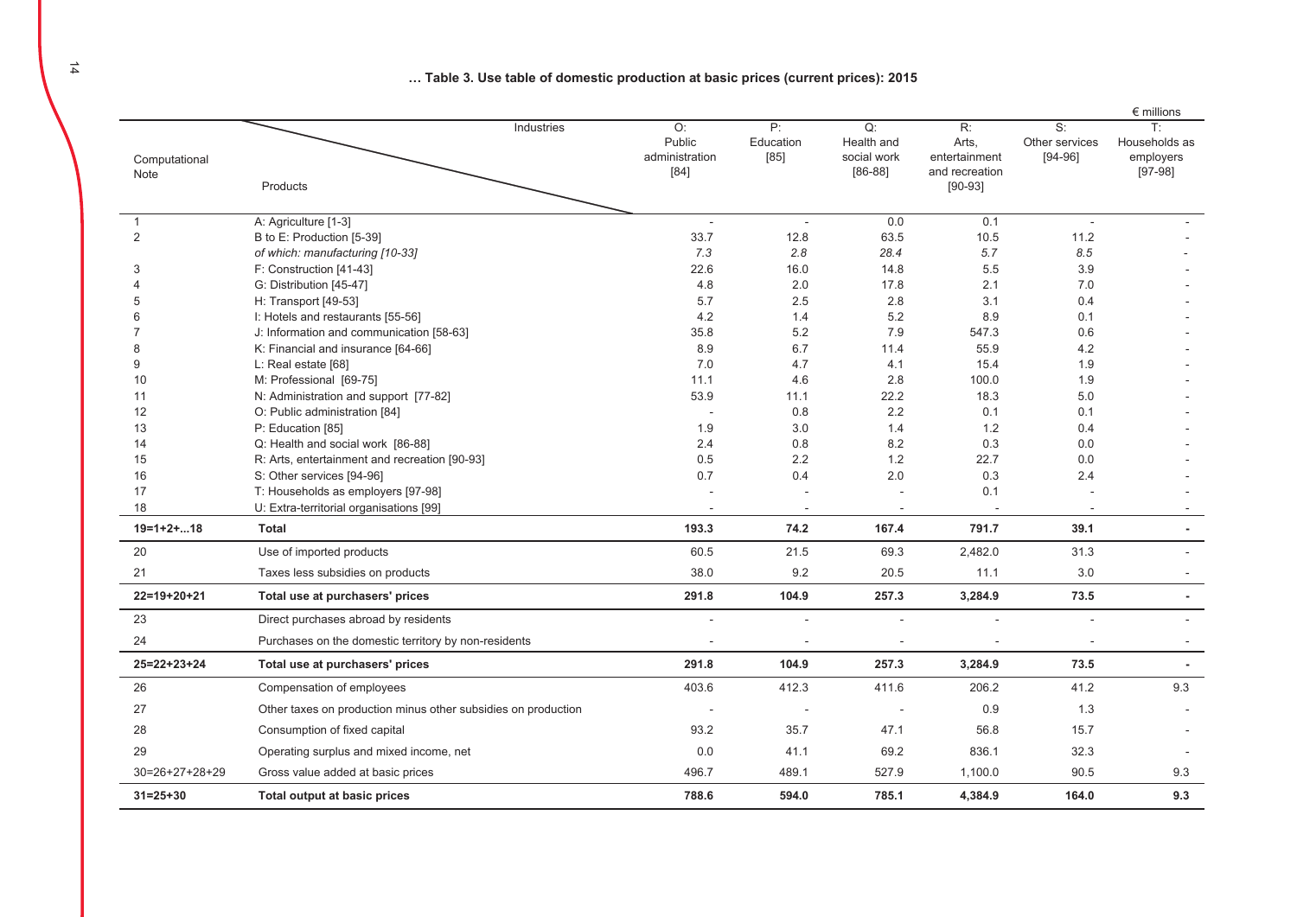... Table 3. Use table of domestic production at basic prices (current prices): 2015

|                       |                                                                               |                                          |                         |                                              |                                                                                    |                                        | $\epsilon$ millions                           |
|-----------------------|-------------------------------------------------------------------------------|------------------------------------------|-------------------------|----------------------------------------------|------------------------------------------------------------------------------------|----------------------------------------|-----------------------------------------------|
| Computational<br>Note | Industries<br>Products                                                        | O:<br>Public<br>administration<br>$[84]$ | P:<br>Education<br>[85] | Q:<br>Health and<br>social work<br>$[86-88]$ | $\overline{\mathsf{R}}$ :<br>Arts,<br>entertainment<br>and recreation<br>$[90-93]$ | $S$ :<br>Other services<br>$[94 - 96]$ | T:<br>Households as<br>employers<br>$[97-98]$ |
| $\mathbf{1}$          | A: Agriculture [1-3]                                                          |                                          | $\sim$                  | 0.0                                          | 0.1                                                                                | L.                                     |                                               |
| $\overline{2}$        | B to E: Production [5-39]                                                     | 33.7                                     | 12.8                    | 63.5                                         | 10.5                                                                               | 11.2                                   |                                               |
|                       | of which: manufacturing [10-33]                                               | 7.3                                      | 2.8                     | 28.4                                         | 5.7                                                                                | 8.5                                    |                                               |
| 3                     | F: Construction [41-43]                                                       | 22.6                                     | 16.0                    | 14.8                                         | 5.5                                                                                | 3.9                                    |                                               |
|                       | G: Distribution [45-47]                                                       | 4.8                                      | 2.0                     | 17.8                                         | 2.1                                                                                | 7.0                                    |                                               |
| 5                     | H: Transport [49-53]                                                          | 5.7                                      | 2.5                     | 2.8                                          | 3.1                                                                                | 0.4                                    |                                               |
| 6                     | I: Hotels and restaurants [55-56]                                             | 4.2                                      | 1.4                     | 5.2                                          | 8.9                                                                                | 0.1                                    |                                               |
| 7                     | J: Information and communication [58-63]                                      | 35.8                                     | 5.2                     | 7.9                                          | 547.3                                                                              | 0.6                                    |                                               |
| 8                     | K: Financial and insurance [64-66]                                            | 8.9                                      | 6.7                     | 11.4                                         | 55.9                                                                               | 4.2                                    |                                               |
| 9                     | L: Real estate $[68]$                                                         | 7.0                                      | 4.7                     | 4.1                                          | 15.4                                                                               | 1.9                                    |                                               |
| 10                    | M: Professional [69-75]                                                       | 11.1                                     | 4.6                     | 2.8                                          | 100.0                                                                              | 1.9                                    |                                               |
| 11                    | N: Administration and support [77-82]                                         | 53.9                                     | 11.1                    | 22.2                                         | 18.3                                                                               | 5.0                                    |                                               |
| 12                    | O: Public administration [84]                                                 |                                          | 0.8                     | 2.2                                          | 0.1                                                                                | 0.1                                    |                                               |
| 13                    | P: Education [85]                                                             | 1.9                                      | 3.0                     | 1.4                                          | 1.2                                                                                | 0.4                                    |                                               |
| 14                    | Q: Health and social work [86-88]                                             | 2.4                                      | 0.8                     | 8.2                                          | 0.3                                                                                | 0.0                                    |                                               |
| 15                    | R: Arts, entertainment and recreation [90-93]                                 | 0.5                                      | 2.2                     | 1.2                                          | 22.7                                                                               | 0.0                                    |                                               |
| 16<br>17              | S: Other services [94-96]                                                     | 0.7                                      | 0.4                     | 2.0                                          | 0.3<br>0.1                                                                         | 2.4                                    |                                               |
| 18                    | T: Households as employers [97-98]<br>U: Extra-territorial organisations [99] |                                          | $\sim$                  |                                              |                                                                                    |                                        |                                               |
| $19=1+2+18$           | Total                                                                         | 193.3                                    | 74.2                    | 167.4                                        | 791.7                                                                              | 39.1                                   | $\mathbf{r}$                                  |
|                       |                                                                               |                                          |                         |                                              |                                                                                    |                                        |                                               |
| 20                    | Use of imported products                                                      | 60.5                                     | 21.5                    | 69.3                                         | 2,482.0                                                                            | 31.3                                   |                                               |
| 21                    | Taxes less subsidies on products                                              | 38.0                                     | 9.2                     | 20.5                                         | 11.1                                                                               | 3.0                                    |                                               |
| $22 = 19 + 20 + 21$   | Total use at purchasers' prices                                               | 291.8                                    | 104.9                   | 257.3                                        | 3,284.9                                                                            | 73.5                                   | $\overline{a}$                                |
| 23                    | Direct purchases abroad by residents                                          |                                          |                         |                                              |                                                                                    |                                        |                                               |
| 24                    | Purchases on the domestic territory by non-residents                          |                                          |                         |                                              |                                                                                    |                                        |                                               |
| $25 = 22 + 23 + 24$   | Total use at purchasers' prices                                               | 291.8                                    | 104.9                   | 257.3                                        | 3,284.9                                                                            | 73.5                                   | $\blacksquare$                                |
| 26                    | Compensation of employees                                                     | 403.6                                    | 412.3                   | 411.6                                        | 206.2                                                                              | 41.2                                   | 9.3                                           |
| 27                    | Other taxes on production minus other subsidies on production                 |                                          |                         |                                              | 0.9                                                                                | 1.3                                    |                                               |
| 28                    | Consumption of fixed capital                                                  | 93.2                                     | 35.7                    | 47.1                                         | 56.8                                                                               | 15.7                                   |                                               |
| 29                    | Operating surplus and mixed income, net                                       | 0.0                                      | 41.1                    | 69.2                                         | 836.1                                                                              | 32.3                                   |                                               |
| $30=26+27+28+29$      | Gross value added at basic prices                                             | 496.7                                    | 489.1                   | 527.9                                        | 1,100.0                                                                            | 90.5                                   | 9.3                                           |
| $31 = 25 + 30$        | Total output at basic prices                                                  | 788.6                                    | 594.0                   | 785.1                                        | 4,384.9                                                                            | 164.0                                  | 9.3                                           |

14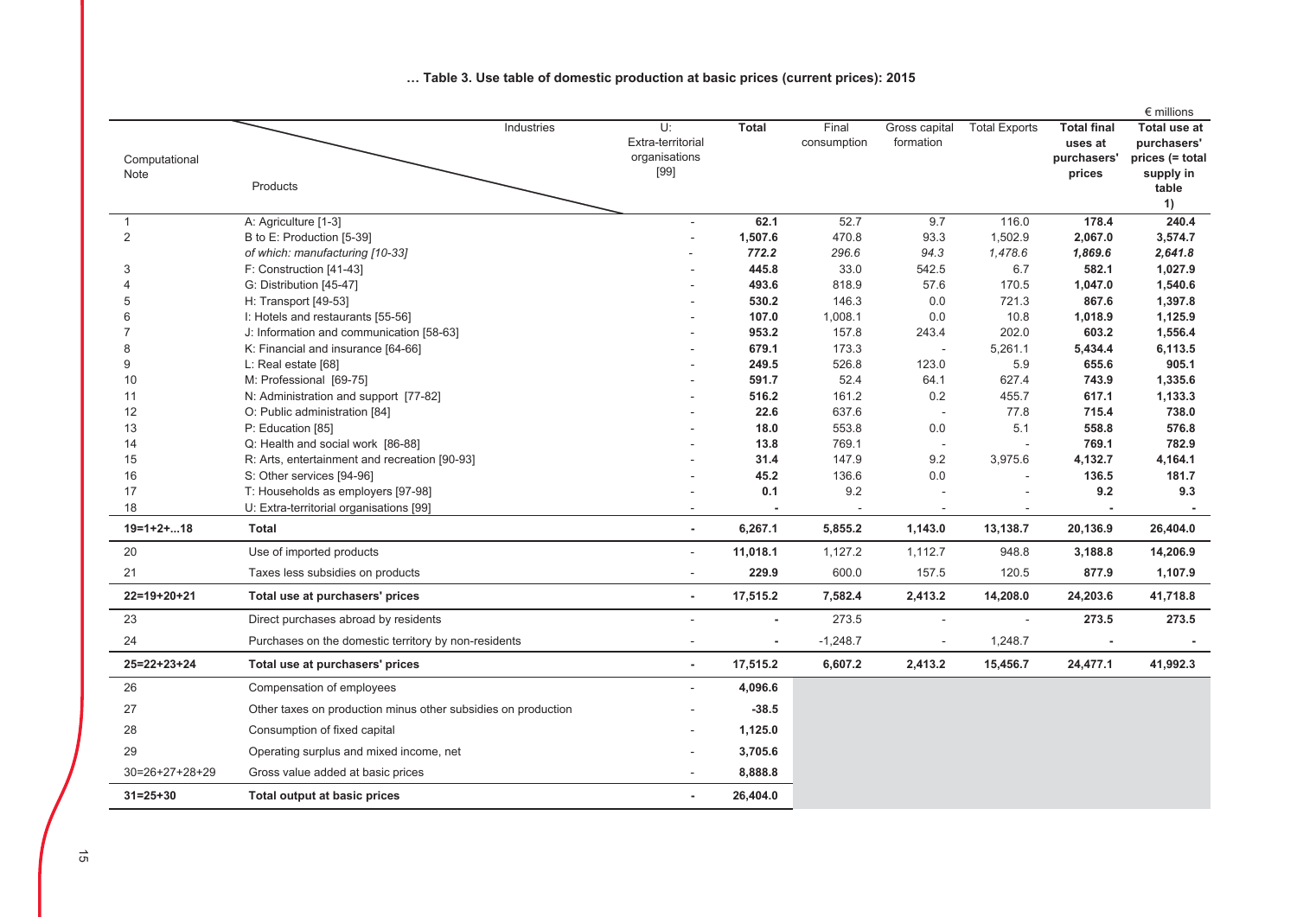|                     |                                                               |                         |                            |             |                          |                          |                    | $\epsilon$ millions |
|---------------------|---------------------------------------------------------------|-------------------------|----------------------------|-------------|--------------------------|--------------------------|--------------------|---------------------|
|                     |                                                               | U:<br>Industries        | <b>Total</b>               | Final       | Gross capital            | <b>Total Exports</b>     | <b>Total final</b> | Total use at        |
|                     |                                                               | Extra-territorial       |                            | consumption | formation                |                          | uses at            | purchasers'         |
| Computational       |                                                               | organisations<br>$[99]$ |                            |             |                          |                          | purchasers'        | prices (= total     |
| Note                | Products                                                      |                         |                            |             |                          |                          | prices             | supply in<br>table  |
|                     |                                                               |                         |                            |             |                          |                          |                    | 1)                  |
| $\mathbf{1}$        | A: Agriculture [1-3]                                          |                         | 62.1<br>$\sim$             | 52.7        | 9.7                      | 116.0                    | 178.4              | 240.4               |
| 2                   | B to E: Production [5-39]                                     |                         | 1,507.6                    | 470.8       | 93.3                     | 1,502.9                  | 2,067.0            | 3,574.7             |
|                     | of which: manufacturing [10-33]                               |                         | 772.2                      | 296.6       | 94.3                     | 1,478.6                  | 1,869.6            | 2,641.8             |
| 3                   | F: Construction [41-43]                                       |                         | 445.8                      | 33.0        | 542.5                    | 6.7                      | 582.1              | 1,027.9             |
| $\Delta$            | G: Distribution [45-47]                                       |                         | 493.6                      | 818.9       | 57.6                     | 170.5                    | 1,047.0            | 1,540.6             |
| 5                   | H: Transport [49-53]                                          |                         | 530.2                      | 146.3       | 0.0                      | 721.3                    | 867.6              | 1,397.8             |
| 6                   | I: Hotels and restaurants [55-56]                             |                         | 107.0                      | 1,008.1     | $0.0\,$                  | 10.8                     | 1,018.9            | 1,125.9             |
| $\overline{7}$      | J: Information and communication [58-63]                      |                         | 953.2                      | 157.8       | 243.4                    | 202.0                    | 603.2              | 1,556.4             |
| 8                   | K: Financial and insurance [64-66]                            |                         | 679.1                      | 173.3       | $\sim$                   | 5,261.1                  | 5,434.4            | 6,113.5             |
| 9                   | L: Real estate [68]                                           |                         | 249.5                      | 526.8       | 123.0                    | 5.9                      | 655.6              | 905.1               |
| 10                  | M: Professional [69-75]                                       |                         | 591.7                      | 52.4        | 64.1                     | 627.4                    | 743.9              | 1,335.6             |
| 11                  | N: Administration and support [77-82]                         |                         | 516.2                      | 161.2       | 0.2                      | 455.7                    | 617.1              | 1,133.3             |
| 12                  | O: Public administration [84]                                 |                         | 22.6                       | 637.6       | $\overline{a}$           | 77.8                     | 715.4              | 738.0               |
| 13                  | P: Education [85]                                             |                         | 18.0                       | 553.8       | 0.0                      | 5.1                      | 558.8              | 576.8               |
| 14                  | Q: Health and social work [86-88]                             |                         | 13.8                       | 769.1       | $\overline{\phantom{a}}$ | $\overline{\phantom{a}}$ | 769.1              | 782.9               |
| 15                  | R: Arts, entertainment and recreation [90-93]                 |                         | 31.4                       | 147.9       | 9.2                      | 3,975.6                  | 4,132.7            | 4,164.1             |
| 16                  | S: Other services [94-96]                                     |                         | 45.2                       | 136.6       | 0.0                      | $\sim$                   | 136.5              | 181.7               |
| 17                  | T: Households as employers [97-98]                            |                         | 0.1                        | 9.2         |                          |                          | 9.2                | 9.3                 |
| 18                  | U: Extra-territorial organisations [99]                       |                         |                            |             |                          |                          |                    |                     |
| $19=1+2+18$         | <b>Total</b>                                                  |                         | 6,267.1<br>$\blacksquare$  | 5,855.2     | 1,143.0                  | 13,138.7                 | 20,136.9           | 26,404.0            |
| 20                  | Use of imported products                                      |                         | 11,018.1<br>$\sim$         | 1,127.2     | 1,112.7                  | 948.8                    | 3,188.8            | 14,206.9            |
| 21                  | Taxes less subsidies on products                              |                         | 229.9<br>$\sim$            | 600.0       | 157.5                    | 120.5                    | 877.9              | 1,107.9             |
| $22=19+20+21$       | Total use at purchasers' prices                               |                         | 17,515.2<br>$\blacksquare$ | 7,582.4     | 2,413.2                  | 14,208.0                 | 24,203.6           | 41,718.8            |
| 23                  | Direct purchases abroad by residents                          |                         | $\blacksquare$             | 273.5       | $\overline{\phantom{a}}$ | L.                       | 273.5              | 273.5               |
| 24                  | Purchases on the domestic territory by non-residents          |                         | $\overline{a}$             | $-1,248.7$  | $\overline{a}$           | 1,248.7                  |                    |                     |
| $25 = 22 + 23 + 24$ | Total use at purchasers' prices                               |                         | 17,515.2<br>$\blacksquare$ | 6,607.2     | 2,413.2                  | 15,456.7                 | 24,477.1           | 41,992.3            |
| 26                  | Compensation of employees                                     |                         | 4,096.6                    |             |                          |                          |                    |                     |
| 27                  | Other taxes on production minus other subsidies on production |                         | $-38.5$                    |             |                          |                          |                    |                     |
| 28                  | Consumption of fixed capital                                  |                         | 1,125.0                    |             |                          |                          |                    |                     |
| 29                  | Operating surplus and mixed income, net                       |                         | 3,705.6                    |             |                          |                          |                    |                     |
| $30=26+27+28+29$    | Gross value added at basic prices                             |                         | 8,888.8                    |             |                          |                          |                    |                     |
| $31 = 25 + 30$      | Total output at basic prices                                  |                         | 26,404.0<br>$\blacksquare$ |             |                          |                          |                    |                     |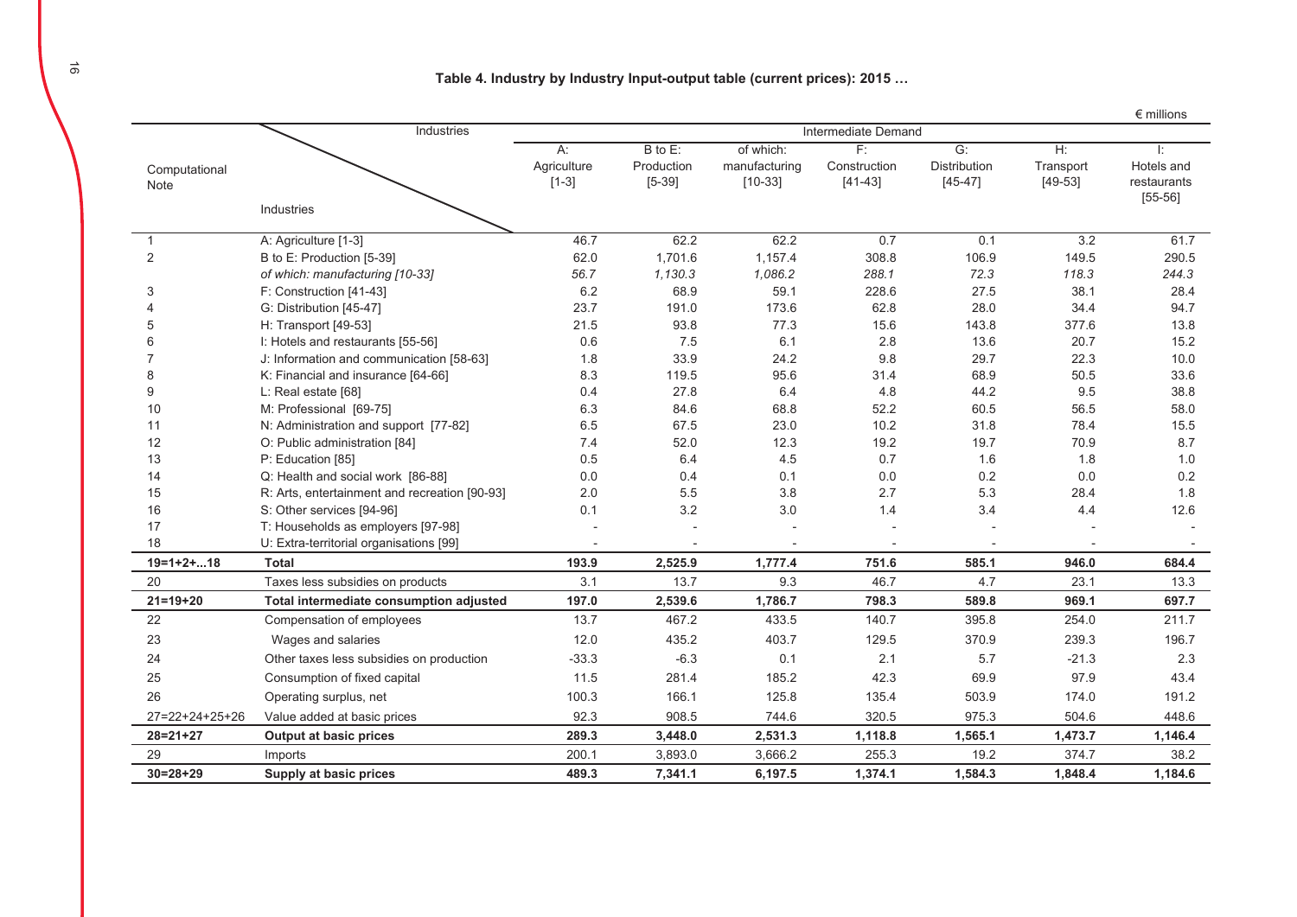Table 4. Industry by Industry Input-output table (current prices): 2015 ...

|                          |                                               |                     |            |               |              |                     |           | $\epsilon$ millions |
|--------------------------|-----------------------------------------------|---------------------|------------|---------------|--------------|---------------------|-----------|---------------------|
|                          | Industries                                    | Intermediate Demand |            |               |              |                     |           |                     |
|                          |                                               | A:                  | B to E:    | of which:     | F:           | G:                  | $H$ :     | Ŀ.                  |
| Computational            |                                               | Agriculture         | Production | manufacturing | Construction | <b>Distribution</b> | Transport | Hotels and          |
| Note                     |                                               | $[1-3]$             | $[5-39]$   | $[10-33]$     | $[41-43]$    | $[45 - 47]$         | $[49-53]$ | restaurants         |
|                          | Industries                                    |                     |            |               |              |                     |           | $[55-56]$           |
|                          |                                               |                     |            |               |              |                     |           |                     |
| 1                        | A: Agriculture [1-3]                          | 46.7                | 62.2       | 62.2          | 0.7          | 0.1                 | 3.2       | 61.7                |
| $\overline{2}$           | B to E: Production [5-39]                     | 62.0                | 1,701.6    | 1,157.4       | 308.8        | 106.9               | 149.5     | 290.5               |
|                          | of which: manufacturing [10-33]               | 56.7                | 1,130.3    | 1,086.2       | 288.1        | 72.3                | 118.3     | 244.3               |
| 3                        | F: Construction [41-43]                       | 6.2                 | 68.9       | 59.1          | 228.6        | 27.5                | 38.1      | 28.4                |
|                          | G: Distribution [45-47]                       | 23.7                | 191.0      | 173.6         | 62.8         | 28.0                | 34.4      | 94.7                |
| 5                        | H: Transport [49-53]                          | 21.5                | 93.8       | 77.3          | 15.6         | 143.8               | 377.6     | 13.8                |
| 6                        | I: Hotels and restaurants [55-56]             | 0.6                 | 7.5        | 6.1           | 2.8          | 13.6                | 20.7      | 15.2                |
|                          | J: Information and communication [58-63]      | 1.8                 | 33.9       | 24.2          | 9.8          | 29.7                | 22.3      | 10.0                |
| 8                        | K: Financial and insurance [64-66]            | 8.3                 | 119.5      | 95.6          | 31.4         | 68.9                | 50.5      | 33.6                |
| 9                        | L: Real estate [68]                           | 0.4                 | 27.8       | 6.4           | 4.8          | 44.2                | 9.5       | 38.8                |
| 10                       | M: Professional [69-75]                       | 6.3                 | 84.6       | 68.8          | 52.2         | 60.5                | 56.5      | 58.0                |
| 11                       | N: Administration and support [77-82]         | 6.5                 | 67.5       | 23.0          | 10.2         | 31.8                | 78.4      | 15.5                |
| 12                       | O: Public administration [84]                 | 7.4                 | 52.0       | 12.3          | 19.2         | 19.7                | 70.9      | 8.7                 |
| 13                       | P: Education [85]                             | 0.5                 | 6.4        | 4.5           | 0.7          | 1.6                 | 1.8       | 1.0                 |
| 14                       | Q: Health and social work [86-88]             | 0.0                 | 0.4        | 0.1           | 0.0          | 0.2                 | $0.0\,$   | 0.2                 |
| 15                       | R: Arts, entertainment and recreation [90-93] | 2.0                 | 5.5        | 3.8           | 2.7          | 5.3                 | 28.4      | 1.8                 |
| 16                       | S: Other services [94-96]                     | 0.1                 | 3.2        | 3.0           | 1.4          | 3.4                 | 4.4       | 12.6                |
| 17                       | T: Households as employers [97-98]            |                     |            |               |              |                     |           |                     |
| 18                       | U: Extra-territorial organisations [99]       |                     |            |               |              |                     |           |                     |
| $19=1+2+18$              | <b>Total</b>                                  | 193.9               | 2,525.9    | 1,777.4       | 751.6        | 585.1               | 946.0     | 684.4               |
| 20                       | Taxes less subsidies on products              | 3.1                 | 13.7       | 9.3           | 46.7         | 4.7                 | 23.1      | 13.3                |
| $21 = 19 + 20$           | Total intermediate consumption adjusted       | 197.0               | 2,539.6    | 1,786.7       | 798.3        | 589.8               | 969.1     | 697.7               |
| 22                       | Compensation of employees                     | 13.7                | 467.2      | 433.5         | 140.7        | 395.8               | 254.0     | 211.7               |
| 23                       | Wages and salaries                            | 12.0                | 435.2      | 403.7         | 129.5        | 370.9               | 239.3     | 196.7               |
| 24                       | Other taxes less subsidies on production      | $-33.3$             | $-6.3$     | 0.1           | 2.1          | 5.7                 | $-21.3$   | 2.3                 |
| 25                       | Consumption of fixed capital                  | 11.5                | 281.4      | 185.2         | 42.3         | 69.9                | 97.9      | 43.4                |
| 26                       | Operating surplus, net                        | 100.3               | 166.1      | 125.8         | 135.4        | 503.9               | 174.0     | 191.2               |
| $27 = 22 + 24 + 25 + 26$ | Value added at basic prices                   | 92.3                | 908.5      | 744.6         | 320.5        | 975.3               | 504.6     | 448.6               |
| $28 = 21 + 27$           | <b>Output at basic prices</b>                 | 289.3               | 3,448.0    | 2,531.3       | 1,118.8      | 1,565.1             | 1,473.7   | 1,146.4             |
| 29                       | Imports                                       | 200.1               | 3,893.0    | 3,666.2       | 255.3        | 19.2                | 374.7     | 38.2                |
| $30=28+29$               | Supply at basic prices                        | 489.3               | 7,341.1    | 6,197.5       | 1,374.1      | 1,584.3             | 1,848.4   | 1,184.6             |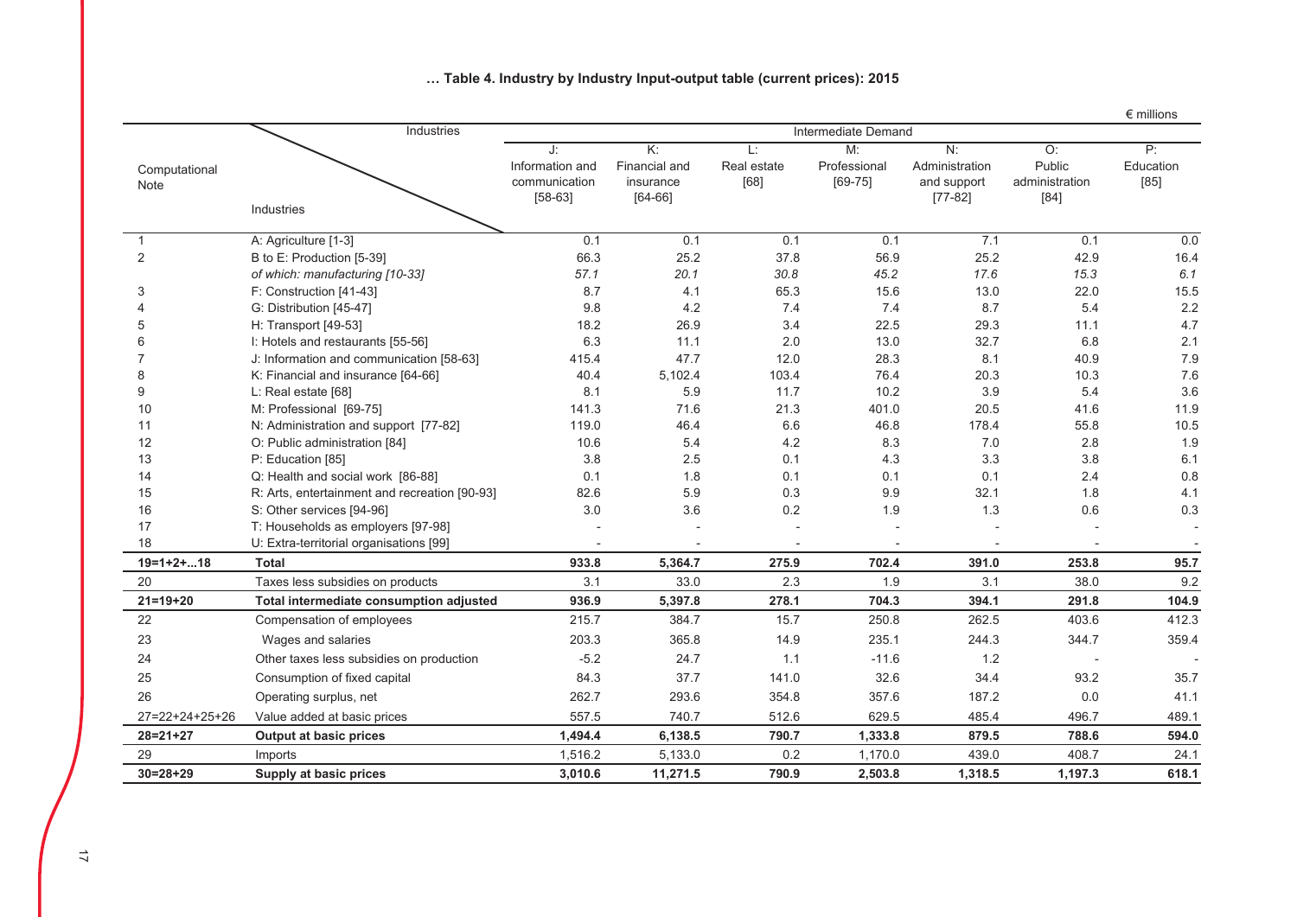|                       |                                               |                                                     |                                                             |                           |                                   |                                                |                                          | $\epsilon$ millions       |
|-----------------------|-----------------------------------------------|-----------------------------------------------------|-------------------------------------------------------------|---------------------------|-----------------------------------|------------------------------------------------|------------------------------------------|---------------------------|
|                       | Industries                                    | Intermediate Demand                                 |                                                             |                           |                                   |                                                |                                          |                           |
| Computational<br>Note |                                               | J:<br>Information and<br>communication<br>$[58-63]$ | $\overline{K}$ :<br>Financial and<br>insurance<br>$[64-66]$ | L:<br>Real estate<br>[68] | M:<br>Professional<br>$[69 - 75]$ | N:<br>Administration<br>and support<br>[77-82] | O:<br>Public<br>administration<br>$[84]$ | P:<br>Education<br>$[85]$ |
|                       | Industries                                    |                                                     |                                                             |                           |                                   |                                                |                                          |                           |
| $\mathbf{1}$          | A: Agriculture [1-3]                          | 0.1                                                 | 0.1                                                         | 0.1                       | 0.1                               | 7.1                                            | 0.1                                      | 0.0                       |
| $\overline{2}$        | B to E: Production [5-39]                     | 66.3                                                | 25.2                                                        | 37.8                      | 56.9                              | 25.2                                           | 42.9                                     | 16.4                      |
|                       | of which: manufacturing [10-33]               | 57.1                                                | 20.1                                                        | 30.8                      | 45.2                              | 17.6                                           | 15.3                                     | 6.1                       |
| 3                     | F: Construction [41-43]                       | 8.7                                                 | 4.1                                                         | 65.3                      | 15.6                              | 13.0                                           | 22.0                                     | 15.5                      |
| 4                     | G: Distribution [45-47]                       | 9.8                                                 | 4.2                                                         | 7.4                       | 7.4                               | 8.7                                            | 5.4                                      | 2.2                       |
| 5                     | H: Transport [49-53]                          | 18.2                                                | 26.9                                                        | 3.4                       | 22.5                              | 29.3                                           | 11.1                                     | 4.7                       |
| 6                     | I: Hotels and restaurants [55-56]             | 6.3                                                 | 11.1                                                        | 2.0                       | 13.0                              | 32.7                                           | 6.8                                      | 2.1                       |
| $\overline{7}$        | J: Information and communication [58-63]      | 415.4                                               | 47.7                                                        | 12.0                      | 28.3                              | 8.1                                            | 40.9                                     | 7.9                       |
| 8                     | K: Financial and insurance [64-66]            | 40.4                                                | 5,102.4                                                     | 103.4                     | 76.4                              | 20.3                                           | 10.3                                     | 7.6                       |
| 9                     | L: Real estate [68]                           | 8.1                                                 | 5.9                                                         | 11.7                      | 10.2                              | 3.9                                            | 5.4                                      | 3.6                       |
| 10                    | M: Professional [69-75]                       | 141.3                                               | 71.6                                                        | 21.3                      | 401.0                             | 20.5                                           | 41.6                                     | 11.9                      |
| 11                    | N: Administration and support [77-82]         | 119.0                                               | 46.4                                                        | 6.6                       | 46.8                              | 178.4                                          | 55.8                                     | 10.5                      |
| 12                    | O: Public administration [84]                 | 10.6                                                | 5.4                                                         | 4.2                       | 8.3                               | 7.0                                            | 2.8                                      | 1.9                       |
| 13                    | P: Education [85]                             | 3.8                                                 | 2.5                                                         | 0.1                       | 4.3                               | 3.3                                            | 3.8                                      | 6.1                       |
| 14                    | Q: Health and social work [86-88]             | 0.1                                                 | 1.8                                                         | 0.1                       | 0.1                               | 0.1                                            | 2.4                                      | 0.8                       |
| 15                    | R: Arts, entertainment and recreation [90-93] | 82.6                                                | 5.9                                                         | 0.3                       | 9.9                               | 32.1                                           | 1.8                                      | 4.1                       |
| 16                    | S: Other services [94-96]                     | 3.0                                                 | 3.6                                                         | 0.2                       | 1.9                               | 1.3                                            | 0.6                                      | 0.3                       |
| 17                    | T: Households as employers [97-98]            |                                                     |                                                             |                           |                                   |                                                |                                          |                           |
| 18                    | U: Extra-territorial organisations [99]       |                                                     |                                                             | $\overline{\phantom{a}}$  | $\blacksquare$                    | $\overline{\phantom{a}}$                       | $\blacksquare$                           |                           |
| $19=1+2+18$           | <b>Total</b>                                  | 933.8                                               | 5,364.7                                                     | 275.9                     | 702.4                             | 391.0                                          | 253.8                                    | 95.7                      |
| 20                    | Taxes less subsidies on products              | 3.1                                                 | 33.0                                                        | 2.3                       | 1.9                               | 3.1                                            | 38.0                                     | 9.2                       |
| $21 = 19 + 20$        | Total intermediate consumption adjusted       | 936.9                                               | 5,397.8                                                     | 278.1                     | 704.3                             | 394.1                                          | 291.8                                    | 104.9                     |
| 22                    | Compensation of employees                     | 215.7                                               | 384.7                                                       | 15.7                      | 250.8                             | 262.5                                          | 403.6                                    | 412.3                     |
| 23                    | Wages and salaries                            | 203.3                                               | 365.8                                                       | 14.9                      | 235.1                             | 244.3                                          | 344.7                                    | 359.4                     |
| 24                    | Other taxes less subsidies on production      | $-5.2$                                              | 24.7                                                        | 1.1                       | $-11.6$                           | 1.2                                            |                                          |                           |
| 25                    | Consumption of fixed capital                  | 84.3                                                | 37.7                                                        | 141.0                     | 32.6                              | 34.4                                           | 93.2                                     | 35.7                      |
| 26                    | Operating surplus, net                        | 262.7                                               | 293.6                                                       | 354.8                     | 357.6                             | 187.2                                          | 0.0                                      | 41.1                      |
| 27=22+24+25+26        | Value added at basic prices                   | 557.5                                               | 740.7                                                       | 512.6                     | 629.5                             | 485.4                                          | 496.7                                    | 489.1                     |
| $28 = 21 + 27$        | Output at basic prices                        | 1,494.4                                             | 6,138.5                                                     | 790.7                     | 1,333.8                           | 879.5                                          | 788.6                                    | 594.0                     |
| 29                    | Imports                                       | 1,516.2                                             | 5,133.0                                                     | 0.2                       | 1,170.0                           | 439.0                                          | 408.7                                    | 24.1                      |
| $30 = 28 + 29$        | Supply at basic prices                        | 3,010.6                                             | 11,271.5                                                    | 790.9                     | 2,503.8                           | 1,318.5                                        | 1,197.3                                  | 618.1                     |

# ... Table 4. Industry by Industry Input-output table (current prices): 2015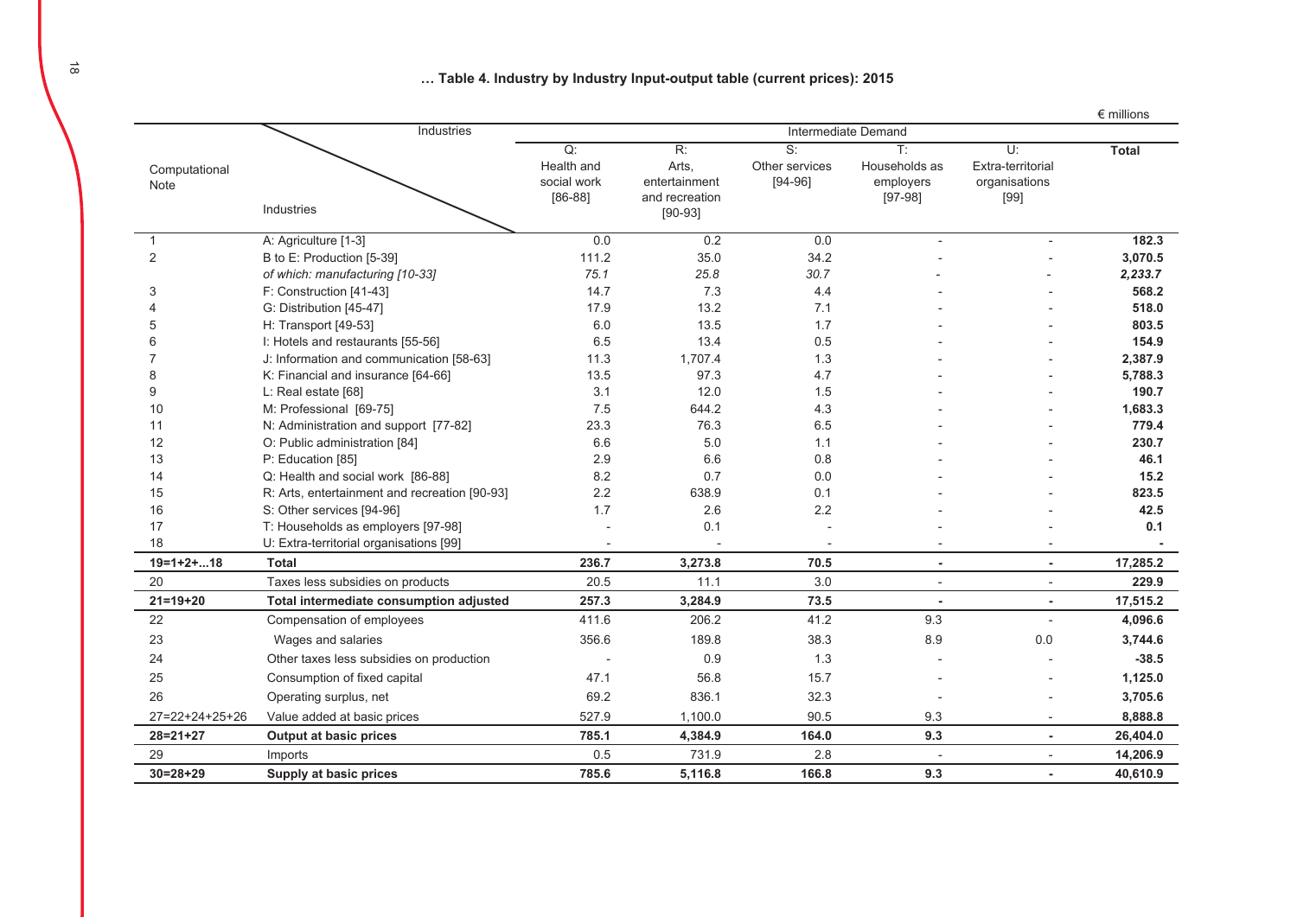... Table 4. Industry by Industry Input-output table (current prices): 2015

|                       |                                               |                                              |                                                                           |                                   |                                                           |                                                  | $\epsilon$ millions |
|-----------------------|-----------------------------------------------|----------------------------------------------|---------------------------------------------------------------------------|-----------------------------------|-----------------------------------------------------------|--------------------------------------------------|---------------------|
|                       | Industries                                    |                                              |                                                                           |                                   |                                                           |                                                  |                     |
| Computational<br>Note | Industries                                    | Q:<br>Health and<br>social work<br>$[86-88]$ | $\overline{R}$ :<br>Arts,<br>entertainment<br>and recreation<br>$[90-93]$ | S:<br>Other services<br>$[94-96]$ | $\overline{T}$<br>Households as<br>employers<br>$[97-98]$ | U:<br>Extra-territorial<br>organisations<br>[99] | <b>Total</b>        |
| $\mathbf{1}$          | A: Agriculture [1-3]                          | 0.0                                          | 0.2                                                                       | 0.0                               | $\overline{\phantom{a}}$                                  |                                                  | 182.3               |
| 2                     | B to E: Production [5-39]                     | 111.2                                        | 35.0                                                                      | 34.2                              |                                                           |                                                  | 3,070.5             |
|                       | of which: manufacturing [10-33]               | 75.1                                         | 25.8                                                                      | 30.7                              |                                                           |                                                  | 2,233.7             |
| 3                     | F: Construction [41-43]                       | 14.7                                         | 7.3                                                                       | 4.4                               |                                                           |                                                  | 568.2               |
|                       | G: Distribution [45-47]                       | 17.9                                         | 13.2                                                                      | 7.1                               |                                                           |                                                  | 518.0               |
| 5                     | H: Transport [49-53]                          | 6.0                                          | 13.5                                                                      | 1.7                               |                                                           |                                                  | 803.5               |
|                       | I: Hotels and restaurants [55-56]             | 6.5                                          | 13.4                                                                      | 0.5                               |                                                           |                                                  | 154.9               |
|                       | J: Information and communication [58-63]      | 11.3                                         | 1,707.4                                                                   | 1.3                               |                                                           |                                                  | 2,387.9             |
| 8                     | K: Financial and insurance [64-66]            | 13.5                                         | 97.3                                                                      | 4.7                               |                                                           |                                                  | 5,788.3             |
| 9                     | L: Real estate [68]                           | 3.1                                          | 12.0                                                                      | 1.5                               |                                                           |                                                  | 190.7               |
| 10                    | M: Professional [69-75]                       | 7.5                                          | 644.2                                                                     | 4.3                               |                                                           |                                                  | 1,683.3             |
| 11                    | N: Administration and support [77-82]         | 23.3                                         | 76.3                                                                      | 6.5                               |                                                           |                                                  | 779.4               |
| 12                    | O: Public administration [84]                 | 6.6                                          | 5.0                                                                       | 1.1                               |                                                           |                                                  | 230.7               |
| 13                    | P: Education [85]                             | 2.9                                          | 6.6                                                                       | 0.8                               |                                                           |                                                  | 46.1                |
| 14                    | Q: Health and social work [86-88]             | 8.2                                          | 0.7                                                                       | 0.0                               |                                                           |                                                  | 15.2                |
| 15                    | R: Arts, entertainment and recreation [90-93] | 2.2                                          | 638.9                                                                     | 0.1                               |                                                           |                                                  | 823.5               |
| 16                    | S: Other services [94-96]                     | 1.7                                          | 2.6                                                                       | 2.2                               |                                                           |                                                  | 42.5                |
| 17                    | T: Households as employers [97-98]            |                                              | 0.1                                                                       |                                   |                                                           |                                                  | 0.1                 |
| 18                    | U: Extra-territorial organisations [99]       |                                              |                                                                           |                                   |                                                           |                                                  |                     |
| $19=1+2+18$           | <b>Total</b>                                  | 236.7                                        | 3,273.8                                                                   | 70.5                              | ٠                                                         | $\sim$                                           | 17,285.2            |
| 20                    | Taxes less subsidies on products              | 20.5                                         | 11.1                                                                      | 3.0                               | $\overline{\phantom{a}}$                                  | $\overline{\phantom{a}}$                         | 229.9               |
| $21 = 19 + 20$        | Total intermediate consumption adjusted       | 257.3                                        | 3,284.9                                                                   | 73.5                              | $\overline{a}$                                            |                                                  | 17,515.2            |
| 22                    | Compensation of employees                     | 411.6                                        | 206.2                                                                     | 41.2                              | 9.3                                                       |                                                  | 4,096.6             |
| 23                    | Wages and salaries                            | 356.6                                        | 189.8                                                                     | 38.3                              | 8.9                                                       | 0.0                                              | 3,744.6             |
| 24                    | Other taxes less subsidies on production      |                                              | 0.9                                                                       | 1.3                               |                                                           |                                                  | $-38.5$             |
| 25                    | Consumption of fixed capital                  | 47.1                                         | 56.8                                                                      | 15.7                              |                                                           |                                                  | 1,125.0             |
| 26                    | Operating surplus, net                        | 69.2                                         | 836.1                                                                     | 32.3                              |                                                           |                                                  | 3,705.6             |
| 27=22+24+25+26        | Value added at basic prices                   | 527.9                                        | 1,100.0                                                                   | 90.5                              | 9.3                                                       | $\blacksquare$                                   | 8,888.8             |
| $28 = 21 + 27$        | <b>Output at basic prices</b>                 | 785.1                                        | 4,384.9                                                                   | 164.0                             | 9.3                                                       |                                                  | 26,404.0            |
| 29                    | Imports                                       | 0.5                                          | 731.9                                                                     | 2.8                               |                                                           |                                                  | 14,206.9            |
| $30 = 28 + 29$        | Supply at basic prices                        | 785.6                                        | 5,116.8                                                                   | 166.8                             | 9.3                                                       |                                                  | 40,610.9            |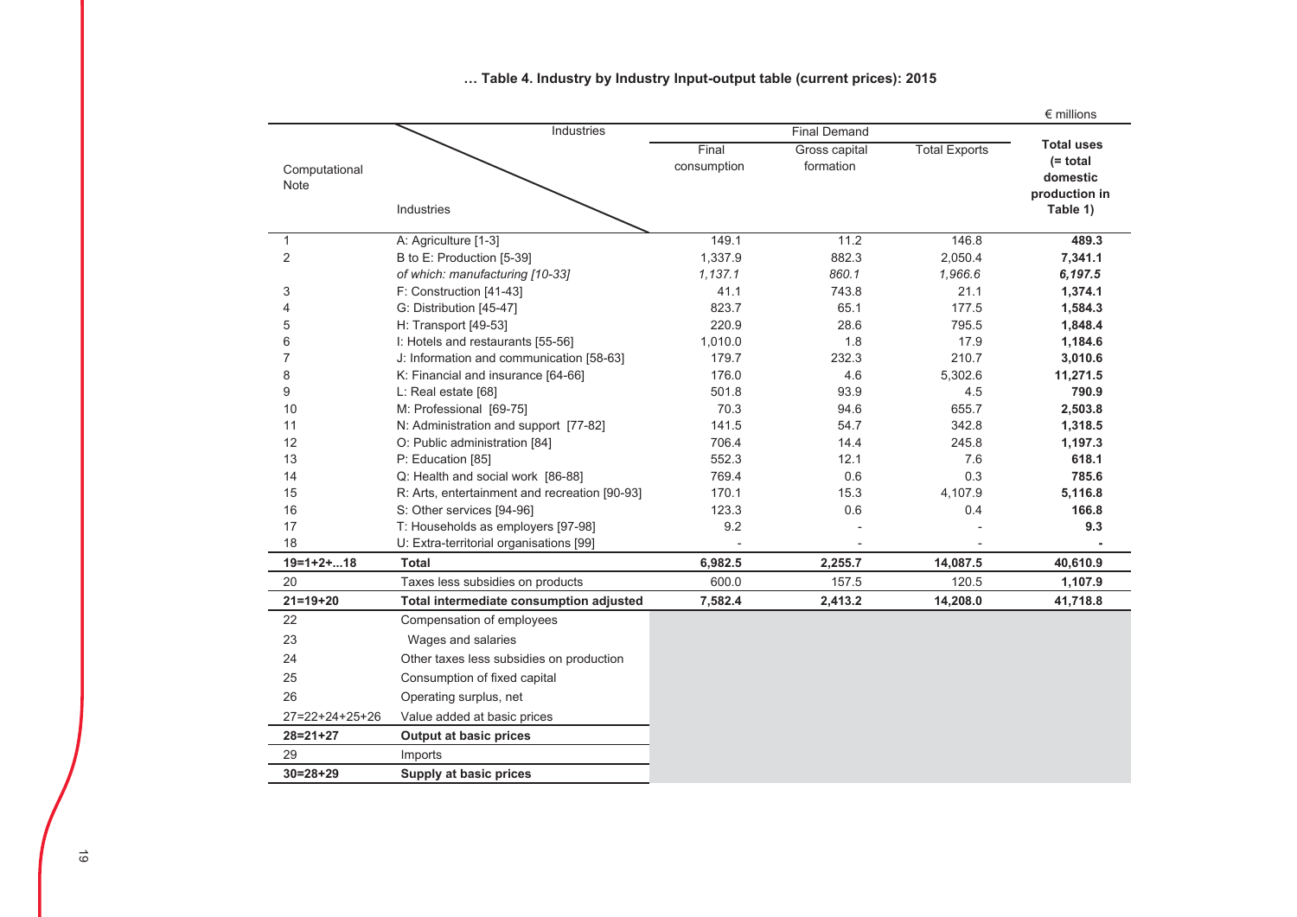|                  |                                               |             |                     |                      | $\epsilon$ millions              |
|------------------|-----------------------------------------------|-------------|---------------------|----------------------|----------------------------------|
|                  | Industries                                    |             | <b>Final Demand</b> |                      |                                  |
|                  |                                               | Final       | Gross capital       | <b>Total Exports</b> | <b>Total uses</b><br>$(= total)$ |
| Computational    |                                               | consumption | formation           |                      | domestic                         |
| Note             |                                               |             |                     |                      | production in                    |
|                  | Industries                                    |             |                     |                      | Table 1)                         |
|                  |                                               |             |                     |                      |                                  |
| $\mathbf{1}$     | A: Agriculture [1-3]                          | 149.1       | 11.2                | 146.8                | 489.3                            |
| $\overline{2}$   | B to E: Production [5-39]                     | 1,337.9     | 882.3               | 2,050.4              | 7,341.1                          |
|                  | of which: manufacturing [10-33]               | 1,137.1     | 860.1               | 1,966.6              | 6,197.5                          |
| 3                | F: Construction [41-43]                       | 41.1        | 743.8               | 21.1                 | 1,374.1                          |
| 4                | G: Distribution [45-47]                       | 823.7       | 65.1                | 177.5                | 1,584.3                          |
| 5                | H: Transport [49-53]                          | 220.9       | 28.6                | 795.5                | 1,848.4                          |
| 6                | I: Hotels and restaurants [55-56]             | 1,010.0     | 1.8                 | 17.9                 | 1,184.6                          |
| $\overline{7}$   | J: Information and communication [58-63]      | 179.7       | 232.3               | 210.7                | 3,010.6                          |
| 8                | K: Financial and insurance [64-66]            | 176.0       | 4.6                 | 5,302.6              | 11,271.5                         |
| 9                | L: Real estate [68]                           | 501.8       | 93.9                | 4.5                  | 790.9                            |
| 10               | M: Professional [69-75]                       | 70.3        | 94.6                | 655.7                | 2,503.8                          |
| 11               | N: Administration and support [77-82]         | 141.5       | 54.7                | 342.8                | 1,318.5                          |
| 12               | O: Public administration [84]                 | 706.4       | 14.4                | 245.8                | 1,197.3                          |
| 13               | P: Education [85]                             | 552.3       | 12.1                | 7.6                  | 618.1                            |
| 14               | Q: Health and social work [86-88]             | 769.4       | 0.6                 | 0.3                  | 785.6                            |
| 15               | R: Arts, entertainment and recreation [90-93] | 170.1       | 15.3                | 4,107.9              | 5,116.8                          |
| 16               | S: Other services [94-96]                     | 123.3       | 0.6                 | 0.4                  | 166.8                            |
| 17               | T: Households as employers [97-98]            | 9.2         |                     |                      | 9.3                              |
| 18               | U: Extra-territorial organisations [99]       |             |                     |                      |                                  |
| $19=1+2+18$      | <b>Total</b>                                  | 6,982.5     | 2,255.7             | 14,087.5             | 40,610.9                         |
| 20               | Taxes less subsidies on products              | 600.0       | 157.5               | 120.5                | 1,107.9                          |
| $21 = 19 + 20$   | Total intermediate consumption adjusted       | 7,582.4     | 2,413.2             | 14,208.0             | 41,718.8                         |
| 22               | Compensation of employees                     |             |                     |                      |                                  |
| 23               | Wages and salaries                            |             |                     |                      |                                  |
| 24               | Other taxes less subsidies on production      |             |                     |                      |                                  |
| 25               | Consumption of fixed capital                  |             |                     |                      |                                  |
| 26               | Operating surplus, net                        |             |                     |                      |                                  |
| $27=22+24+25+26$ | Value added at basic prices                   |             |                     |                      |                                  |
| $28 = 21 + 27$   | <b>Output at basic prices</b>                 |             |                     |                      |                                  |
| 29               | Imports                                       |             |                     |                      |                                  |
| $30 = 28 + 29$   | Supply at basic prices                        |             |                     |                      |                                  |
|                  |                                               |             |                     |                      |                                  |

... Table 4. Industry by Industry Input-output table (current prices): 2015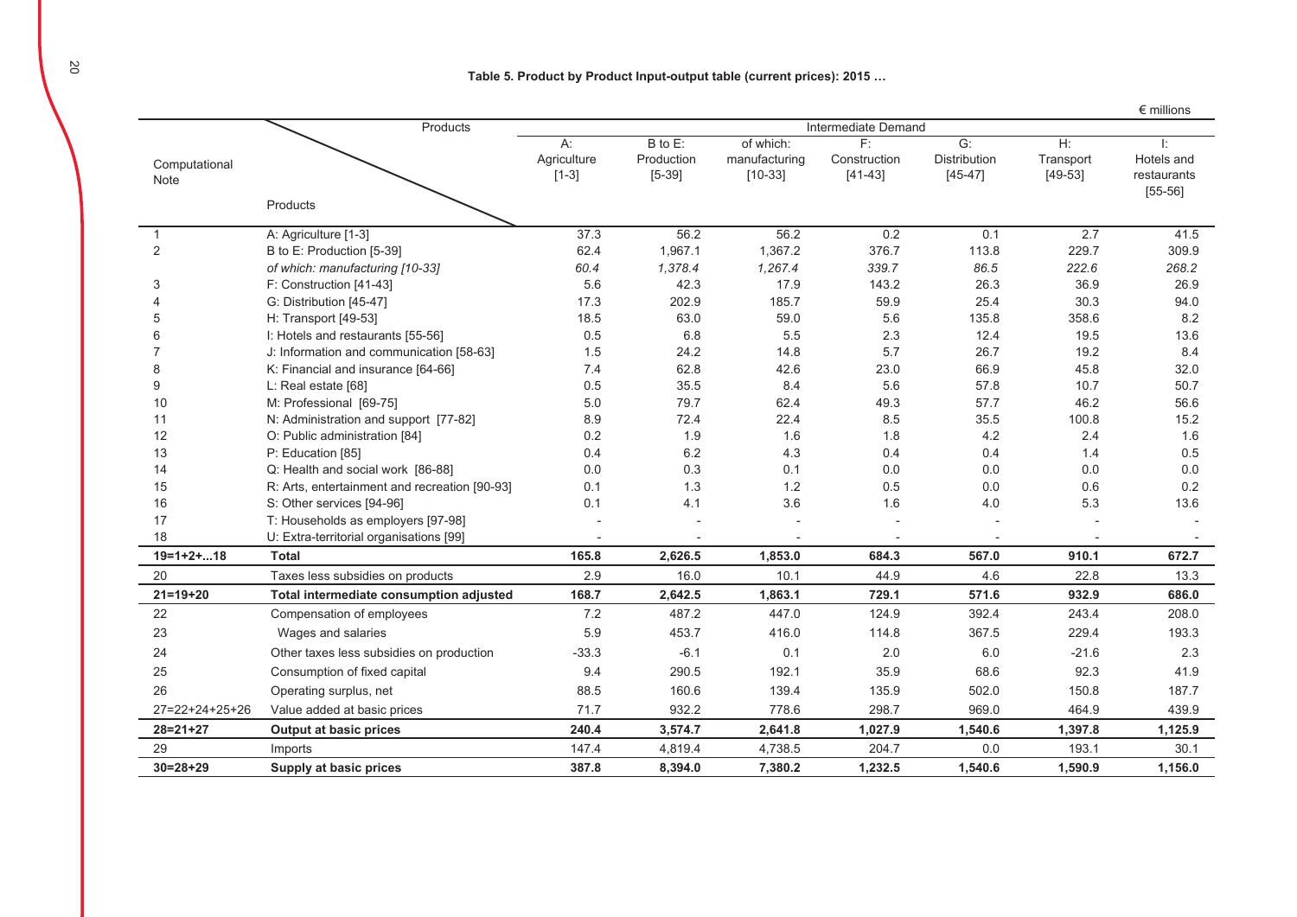### Table 5. Product by Product Input-output table (current prices): 2015 ...

|                       |                                               |                              |                                   |                                         |                                   |                                 |                                 | $\epsilon$ millions                         |
|-----------------------|-----------------------------------------------|------------------------------|-----------------------------------|-----------------------------------------|-----------------------------------|---------------------------------|---------------------------------|---------------------------------------------|
|                       | Products                                      | Intermediate Demand          |                                   |                                         |                                   |                                 |                                 |                                             |
| Computational<br>Note |                                               | A:<br>Agriculture<br>$[1-3]$ | B to E:<br>Production<br>$[5-39]$ | of which:<br>manufacturing<br>$[10-33]$ | F:<br>Construction<br>$[41 - 43]$ | G:<br>Distribution<br>$[45-47]$ | $H$ :<br>Transport<br>$[49-53]$ | Ŀ<br>Hotels and<br>restaurants<br>$[55-56]$ |
|                       | Products                                      |                              |                                   |                                         |                                   |                                 |                                 |                                             |
| 1                     | A: Agriculture [1-3]                          | 37.3                         | 56.2                              | 56.2                                    | 0.2                               | 0.1                             | 2.7                             | 41.5                                        |
| 2                     | B to E: Production [5-39]                     | 62.4                         | 1,967.1                           | 1,367.2                                 | 376.7                             | 113.8                           | 229.7                           | 309.9                                       |
|                       | of which: manufacturing [10-33]               | 60.4                         | 1,378.4                           | 1,267.4                                 | 339.7                             | 86.5                            | 222.6                           | 268.2                                       |
| 3                     | F: Construction [41-43]                       | 5.6                          | 42.3                              | 17.9                                    | 143.2                             | 26.3                            | 36.9                            | 26.9                                        |
| $\boldsymbol{\Delta}$ | G: Distribution [45-47]                       | 17.3                         | 202.9                             | 185.7                                   | 59.9                              | 25.4                            | 30.3                            | 94.0                                        |
| 5                     | H: Transport [49-53]                          | 18.5                         | 63.0                              | 59.0                                    | 5.6                               | 135.8                           | 358.6                           | 8.2                                         |
| 6                     | I: Hotels and restaurants [55-56]             | 0.5                          | 6.8                               | 5.5                                     | 2.3                               | 12.4                            | 19.5                            | 13.6                                        |
| 7                     | J: Information and communication [58-63]      | 1.5                          | 24.2                              | 14.8                                    | 5.7                               | 26.7                            | 19.2                            | 8.4                                         |
| 8                     | K: Financial and insurance [64-66]            | 7.4                          | 62.8                              | 42.6                                    | 23.0                              | 66.9                            | 45.8                            | 32.0                                        |
| 9                     | L: Real estate [68]                           | 0.5                          | 35.5                              | 8.4                                     | 5.6                               | 57.8                            | 10.7                            | 50.7                                        |
| 10                    | M: Professional [69-75]                       | 5.0                          | 79.7                              | 62.4                                    | 49.3                              | 57.7                            | 46.2                            | 56.6                                        |
| 11                    | N: Administration and support [77-82]         | 8.9                          | 72.4                              | 22.4                                    | 8.5                               | 35.5                            | 100.8                           | 15.2                                        |
| 12                    | O: Public administration [84]                 | 0.2                          | 1.9                               | 1.6                                     | 1.8                               | 4.2                             | 2.4                             | 1.6                                         |
| 13                    | P: Education [85]                             | 0.4                          | 6.2                               | 4.3                                     | 0.4                               | 0.4                             | 1.4                             | 0.5                                         |
| 14                    | Q: Health and social work [86-88]             | 0.0                          | 0.3                               | 0.1                                     | 0.0                               | 0.0                             | 0.0                             | 0.0                                         |
| 15                    | R: Arts, entertainment and recreation [90-93] | 0.1                          | 1.3                               | 1.2                                     | 0.5                               | 0.0                             | 0.6                             | 0.2                                         |
| 16                    | S: Other services [94-96]                     | 0.1                          | 4.1                               | 3.6                                     | 1.6                               | 4.0                             | 5.3                             | 13.6                                        |
| 17                    | T: Households as employers [97-98]            |                              |                                   |                                         |                                   |                                 |                                 |                                             |
| 18                    | U: Extra-territorial organisations [99]       |                              |                                   |                                         | $\blacksquare$                    | $\overline{a}$                  |                                 |                                             |
| $19=1+2+18$           | <b>Total</b>                                  | 165.8                        | 2,626.5                           | 1,853.0                                 | 684.3                             | 567.0                           | 910.1                           | 672.7                                       |
| 20                    | Taxes less subsidies on products              | 2.9                          | 16.0                              | 10.1                                    | 44.9                              | 4.6                             | 22.8                            | 13.3                                        |
| $21 = 19 + 20$        | Total intermediate consumption adjusted       | 168.7                        | 2,642.5                           | 1,863.1                                 | 729.1                             | 571.6                           | 932.9                           | 686.0                                       |
| 22                    | Compensation of employees                     | 7.2                          | 487.2                             | 447.0                                   | 124.9                             | 392.4                           | 243.4                           | 208.0                                       |
| 23                    | Wages and salaries                            | 5.9                          | 453.7                             | 416.0                                   | 114.8                             | 367.5                           | 229.4                           | 193.3                                       |
| 24                    | Other taxes less subsidies on production      | $-33.3$                      | $-6.1$                            | 0.1                                     | 2.0                               | 6.0                             | $-21.6$                         | 2.3                                         |
| 25                    | Consumption of fixed capital                  | 9.4                          | 290.5                             | 192.1                                   | 35.9                              | 68.6                            | 92.3                            | 41.9                                        |
| 26                    | Operating surplus, net                        | 88.5                         | 160.6                             | 139.4                                   | 135.9                             | 502.0                           | 150.8                           | 187.7                                       |
| 27=22+24+25+26        | Value added at basic prices                   | 71.7                         | 932.2                             | 778.6                                   | 298.7                             | 969.0                           | 464.9                           | 439.9                                       |
| $28 = 21 + 27$        | <b>Output at basic prices</b>                 | 240.4                        | 3,574.7                           | 2,641.8                                 | 1,027.9                           | 1,540.6                         | 1,397.8                         | 1,125.9                                     |
| 29                    | Imports                                       | 147.4                        | 4,819.4                           | 4,738.5                                 | 204.7                             | 0.0                             | 193.1                           | 30.1                                        |
| $30=28+29$            | Supply at basic prices                        | 387.8                        | 8,394.0                           | 7,380.2                                 | 1,232.5                           | 1,540.6                         | 1,590.9                         | 1,156.0                                     |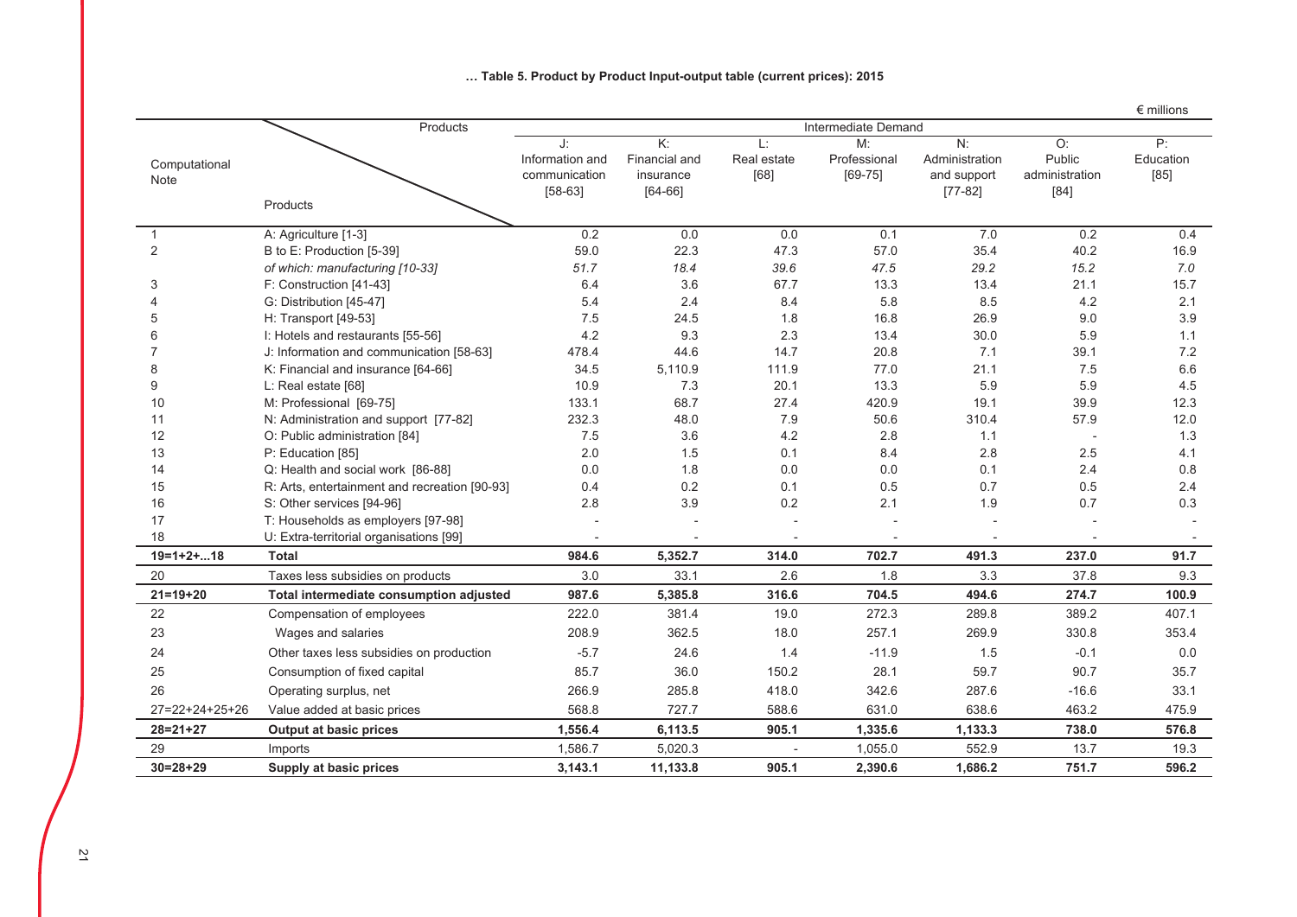|                       |                                               |                                                     |                                                      |                          |                                   |                                                  |                                          | $\epsilon$ millions       |
|-----------------------|-----------------------------------------------|-----------------------------------------------------|------------------------------------------------------|--------------------------|-----------------------------------|--------------------------------------------------|------------------------------------------|---------------------------|
|                       | Products                                      | Intermediate Demand                                 |                                                      |                          |                                   |                                                  |                                          |                           |
| Computational<br>Note |                                               | J.<br>Information and<br>communication<br>$[58-63]$ | K:<br><b>Financial and</b><br>insurance<br>$[64-66]$ | Ŀ<br>Real estate<br>[68] | M:<br>Professional<br>$[69 - 75]$ | N:<br>Administration<br>and support<br>$[77-82]$ | O:<br>Public<br>administration<br>$[84]$ | P:<br>Education<br>$[85]$ |
|                       | Products                                      |                                                     |                                                      |                          |                                   |                                                  |                                          |                           |
| 1                     | A: Agriculture [1-3]                          | 0.2                                                 | 0.0                                                  | 0.0                      | 0.1                               | 7.0                                              | 0.2                                      | 0.4                       |
| 2                     | B to E: Production [5-39]                     | 59.0                                                | 22.3                                                 | 47.3                     | 57.0                              | 35.4                                             | 40.2                                     | 16.9                      |
|                       | of which: manufacturing [10-33]               | 51.7                                                | 18.4                                                 | 39.6                     | 47.5                              | 29.2                                             | 15.2                                     | 7.0                       |
| 3                     | F: Construction [41-43]                       | 6.4                                                 | 3.6                                                  | 67.7                     | 13.3                              | 13.4                                             | 21.1                                     | 15.7                      |
|                       | G: Distribution [45-47]                       | 5.4                                                 | 2.4                                                  | 8.4                      | 5.8                               | 8.5                                              | 4.2                                      | 2.1                       |
| 5                     | H: Transport [49-53]                          | 7.5                                                 | 24.5                                                 | 1.8                      | 16.8                              | 26.9                                             | 9.0                                      | 3.9                       |
| 6                     | I: Hotels and restaurants [55-56]             | 4.2                                                 | 9.3                                                  | 2.3                      | 13.4                              | 30.0                                             | 5.9                                      | 1.1                       |
|                       | J: Information and communication [58-63]      | 478.4                                               | 44.6                                                 | 14.7                     | 20.8                              | 7.1                                              | 39.1                                     | 7.2                       |
| 8                     | K: Financial and insurance [64-66]            | 34.5                                                | 5,110.9                                              | 111.9                    | 77.0                              | 21.1                                             | 7.5                                      | 6.6                       |
| 9                     | L: Real estate [68]                           | 10.9                                                | 7.3                                                  | 20.1                     | 13.3                              | 5.9                                              | 5.9                                      | 4.5                       |
| 10                    | M: Professional [69-75]                       | 133.1                                               | 68.7                                                 | 27.4                     | 420.9                             | 19.1                                             | 39.9                                     | 12.3                      |
| 11                    | N: Administration and support [77-82]         | 232.3                                               | 48.0                                                 | 7.9                      | 50.6                              | 310.4                                            | 57.9                                     | 12.0                      |
| 12                    | O: Public administration [84]                 | 7.5                                                 | 3.6                                                  | 4.2                      | 2.8                               | 1.1                                              |                                          | 1.3                       |
| 13                    | P: Education [85]                             | 2.0                                                 | 1.5                                                  | 0.1                      | 8.4                               | 2.8                                              | 2.5                                      | 4.1                       |
| 14                    | Q: Health and social work [86-88]             | 0.0                                                 | 1.8                                                  | 0.0                      | 0.0                               | 0.1                                              | 2.4                                      | 0.8                       |
| 15                    | R: Arts, entertainment and recreation [90-93] | 0.4                                                 | 0.2                                                  | 0.1                      | 0.5                               | 0.7                                              | 0.5                                      | 2.4                       |
| 16                    | S: Other services [94-96]                     | 2.8                                                 | 3.9                                                  | 0.2                      | 2.1                               | 1.9                                              | 0.7                                      | 0.3                       |
| 17                    | T: Households as employers [97-98]            |                                                     |                                                      |                          |                                   |                                                  |                                          |                           |
| 18                    | U: Extra-territorial organisations [99]       |                                                     |                                                      |                          |                                   |                                                  |                                          |                           |
| $19=1+2+18$           | <b>Total</b>                                  | 984.6                                               | 5,352.7                                              | 314.0                    | 702.7                             | 491.3                                            | 237.0                                    | 91.7                      |
| 20                    | Taxes less subsidies on products              | 3.0                                                 | 33.1                                                 | 2.6                      | 1.8                               | 3.3                                              | 37.8                                     | 9.3                       |
| $21 = 19 + 20$        | Total intermediate consumption adjusted       | 987.6                                               | 5,385.8                                              | 316.6                    | 704.5                             | 494.6                                            | 274.7                                    | 100.9                     |
| 22                    | Compensation of employees                     | 222.0                                               | 381.4                                                | 19.0                     | 272.3                             | 289.8                                            | 389.2                                    | 407.1                     |
| 23                    | Wages and salaries                            | 208.9                                               | 362.5                                                | 18.0                     | 257.1                             | 269.9                                            | 330.8                                    | 353.4                     |
| 24                    | Other taxes less subsidies on production      | $-5.7$                                              | 24.6                                                 | 1.4                      | $-11.9$                           | 1.5                                              | $-0.1$                                   | 0.0                       |
| 25                    | Consumption of fixed capital                  | 85.7                                                | 36.0                                                 | 150.2                    | 28.1                              | 59.7                                             | 90.7                                     | 35.7                      |
| 26                    | Operating surplus, net                        | 266.9                                               | 285.8                                                | 418.0                    | 342.6                             | 287.6                                            | $-16.6$                                  | 33.1                      |
| 27=22+24+25+26        | Value added at basic prices                   | 568.8                                               | 727.7                                                | 588.6                    | 631.0                             | 638.6                                            | 463.2                                    | 475.9                     |
| $28 = 21 + 27$        | <b>Output at basic prices</b>                 | 1,556.4                                             | 6,113.5                                              | 905.1                    | 1,335.6                           | 1,133.3                                          | 738.0                                    | 576.8                     |
| 29                    | Imports                                       | 1,586.7                                             | 5,020.3                                              |                          | 1,055.0                           | 552.9                                            | 13.7                                     | 19.3                      |
| $30=28+29$            | Supply at basic prices                        | 3,143.1                                             | 11,133.8                                             | 905.1                    | 2,390.6                           | 1,686.2                                          | 751.7                                    | 596.2                     |

## ... Table 5. Product by Product Input-output table (current prices): 2015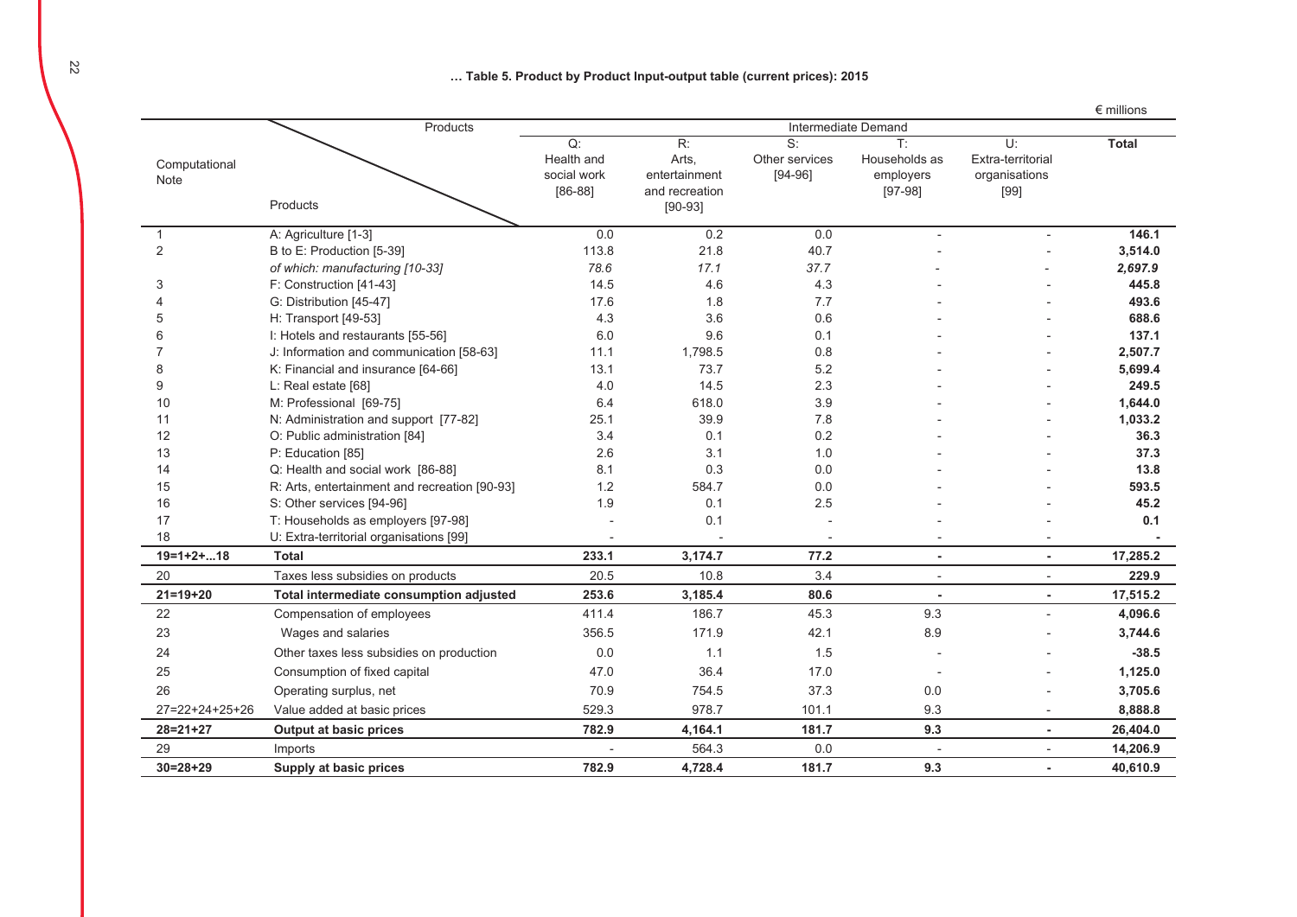... Table 5. Product by Product Input-output table (current prices): 2015

|                       |                                               |                                              |                                                |                                     |                                                           |                                                       | $\epsilon$ millions |
|-----------------------|-----------------------------------------------|----------------------------------------------|------------------------------------------------|-------------------------------------|-----------------------------------------------------------|-------------------------------------------------------|---------------------|
|                       | Products                                      |                                              |                                                |                                     |                                                           |                                                       |                     |
| Computational<br>Note |                                               | Q:<br>Health and<br>social work<br>$[86-88]$ | R:<br>Arts,<br>entertainment<br>and recreation | S:<br>Other services<br>$[94 - 96]$ | $\mathsf{T}$ :<br>Households as<br>employers<br>$[97-98]$ | $U^*$<br>Extra-territorial<br>organisations<br>$[99]$ | <b>Total</b>        |
|                       | Products                                      |                                              | $[90-93]$                                      |                                     |                                                           |                                                       |                     |
| 1                     | A: Agriculture [1-3]                          | 0.0                                          | 0.2                                            | 0.0                                 |                                                           |                                                       | 146.1               |
| 2                     | B to E: Production [5-39]                     | 113.8                                        | 21.8                                           | 40.7                                |                                                           |                                                       | 3,514.0             |
|                       | of which: manufacturing [10-33]               | 78.6                                         | 17.1                                           | 37.7                                |                                                           |                                                       | 2,697.9             |
| 3                     | F: Construction [41-43]                       | 14.5                                         | 4.6                                            | 4.3                                 |                                                           |                                                       | 445.8               |
|                       | G: Distribution [45-47]                       | 17.6                                         | 1.8                                            | 7.7                                 |                                                           |                                                       | 493.6               |
| 5                     | H: Transport [49-53]                          | 4.3                                          | 3.6                                            | 0.6                                 |                                                           |                                                       | 688.6               |
| 6                     | I: Hotels and restaurants [55-56]             | 6.0                                          | 9.6                                            | 0.1                                 |                                                           |                                                       | 137.1               |
|                       | J: Information and communication [58-63]      | 11.1                                         | 1,798.5                                        | 0.8                                 |                                                           |                                                       | 2,507.7             |
| 8                     | K: Financial and insurance [64-66]            | 13.1                                         | 73.7                                           | 5.2                                 |                                                           |                                                       | 5,699.4             |
| 9                     | L: Real estate [68]                           | 4.0                                          | 14.5                                           | 2.3                                 |                                                           |                                                       | 249.5               |
| 10                    | M: Professional [69-75]                       | 6.4                                          | 618.0                                          | 3.9                                 |                                                           |                                                       | 1,644.0             |
| 11                    | N: Administration and support [77-82]         | 25.1                                         | 39.9                                           | 7.8                                 |                                                           |                                                       | 1,033.2             |
| 12                    | O: Public administration [84]                 | 3.4                                          | 0.1                                            | 0.2                                 |                                                           |                                                       | 36.3                |
| 13                    | P: Education [85]                             | 2.6                                          | 3.1                                            | 1.0                                 |                                                           |                                                       | 37.3                |
| 14                    | Q: Health and social work [86-88]             | 8.1                                          | 0.3                                            | 0.0                                 |                                                           |                                                       | 13.8                |
| 15                    | R: Arts, entertainment and recreation [90-93] | 1.2                                          | 584.7                                          | 0.0                                 |                                                           |                                                       | 593.5               |
| 16                    | S: Other services [94-96]                     | 1.9                                          | 0.1                                            | 2.5                                 |                                                           |                                                       | 45.2                |
| 17                    | T: Households as employers [97-98]            |                                              | 0.1                                            |                                     |                                                           |                                                       | 0.1                 |
| 18                    | U: Extra-territorial organisations [99]       |                                              |                                                |                                     |                                                           |                                                       |                     |
| $19=1+2+18$           | <b>Total</b>                                  | 233.1                                        | 3,174.7                                        | 77.2                                | ä,                                                        | $\overline{a}$                                        | 17,285.2            |
| 20                    | Taxes less subsidies on products              | 20.5                                         | 10.8                                           | 3.4                                 |                                                           |                                                       | 229.9               |
| $21 = 19 + 20$        | Total intermediate consumption adjusted       | 253.6                                        | 3,185.4                                        | 80.6                                | ×                                                         | ÷.                                                    | 17,515.2            |
| 22                    | Compensation of employees                     | 411.4                                        | 186.7                                          | 45.3                                | 9.3                                                       |                                                       | 4,096.6             |
| 23                    | Wages and salaries                            | 356.5                                        | 171.9                                          | 42.1                                | 8.9                                                       |                                                       | 3,744.6             |
| 24                    | Other taxes less subsidies on production      | 0.0                                          | 1.1                                            | 1.5                                 |                                                           |                                                       | $-38.5$             |
| 25                    | Consumption of fixed capital                  | 47.0                                         | 36.4                                           | 17.0                                | $\overline{\phantom{a}}$                                  |                                                       | 1,125.0             |
| 26                    | Operating surplus, net                        | 70.9                                         | 754.5                                          | 37.3                                | 0.0                                                       |                                                       | 3,705.6             |
| 27=22+24+25+26        | Value added at basic prices                   | 529.3                                        | 978.7                                          | 101.1                               | 9.3                                                       |                                                       | 8,888.8             |
| $28 = 21 + 27$        | <b>Output at basic prices</b>                 | 782.9                                        | 4,164.1                                        | 181.7                               | 9.3                                                       | $\tilde{\phantom{a}}$                                 | 26,404.0            |
| 29                    | Imports                                       |                                              | 564.3                                          | 0.0                                 |                                                           |                                                       | 14,206.9            |
| $30=28+29$            | Supply at basic prices                        | 782.9                                        | 4,728.4                                        | 181.7                               | 9.3                                                       |                                                       | 40,610.9            |

22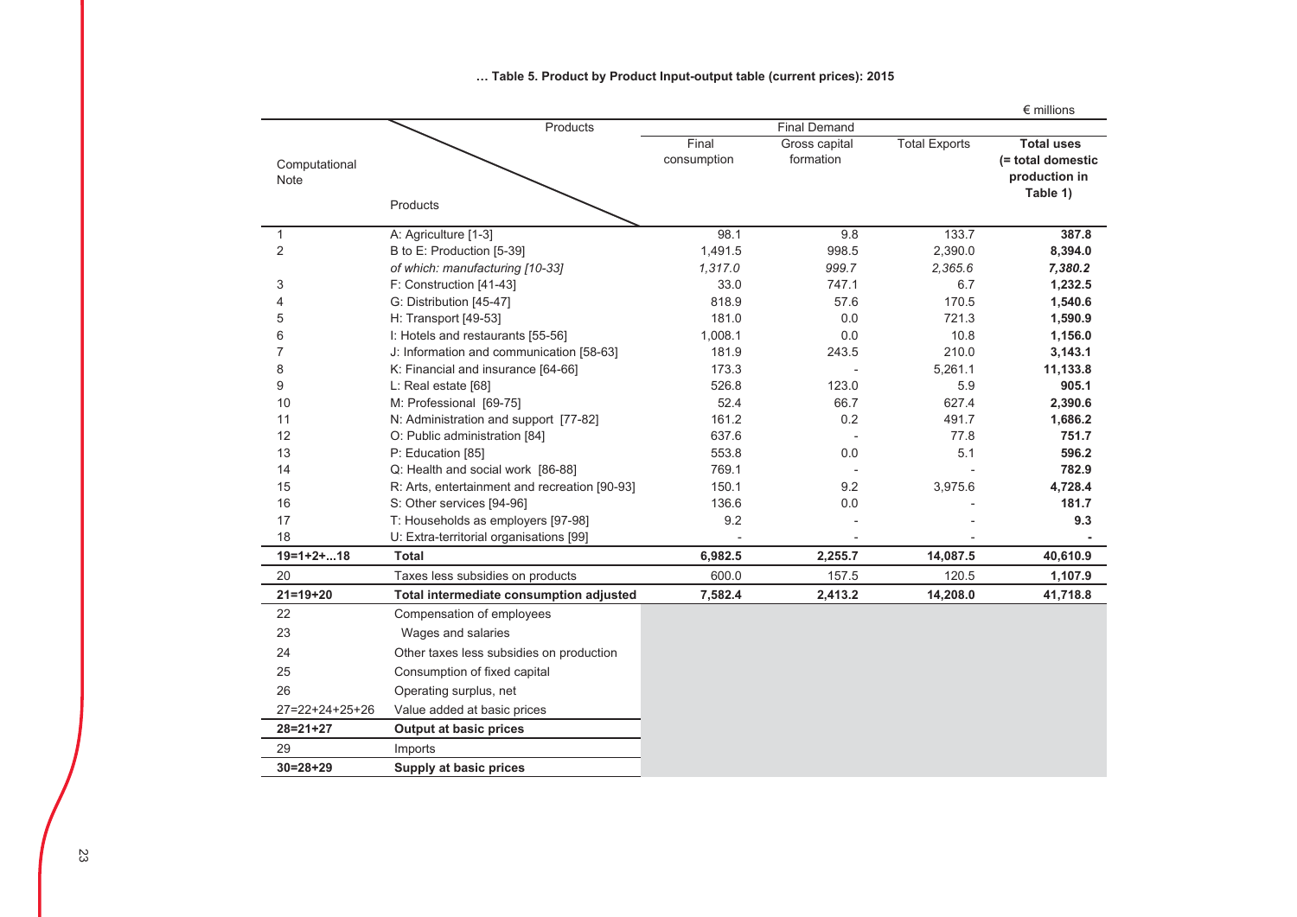|                       |                                               |                      |                            |                      | $\epsilon$ millions                                                 |
|-----------------------|-----------------------------------------------|----------------------|----------------------------|----------------------|---------------------------------------------------------------------|
|                       | Products                                      |                      | <b>Final Demand</b>        |                      |                                                                     |
| Computational<br>Note |                                               | Final<br>consumption | Gross capital<br>formation | <b>Total Exports</b> | <b>Total uses</b><br>(= total domestic<br>production in<br>Table 1) |
|                       | Products                                      |                      |                            |                      |                                                                     |
| $\mathbf{1}$          | A: Agriculture [1-3]                          | 98.1                 | 9.8                        | 133.7                | 387.8                                                               |
| $\overline{2}$        | B to E: Production [5-39]                     | 1.491.5              | 998.5                      | 2,390.0              | 8,394.0                                                             |
|                       | of which: manufacturing [10-33]               | 1,317.0              | 999.7                      | 2,365.6              | 7,380.2                                                             |
| 3                     | F: Construction [41-43]                       | 33.0                 | 747.1                      | 6.7                  | 1,232.5                                                             |
| 4                     | G: Distribution [45-47]                       | 818.9                | 57.6                       | 170.5                | 1,540.6                                                             |
| 5                     | H: Transport [49-53]                          | 181.0                | 0.0                        | 721.3                | 1,590.9                                                             |
| 6                     | I: Hotels and restaurants [55-56]             | 1,008.1              | 0.0                        | 10.8                 | 1,156.0                                                             |
| 7                     | J: Information and communication [58-63]      | 181.9                | 243.5                      | 210.0                | 3,143.1                                                             |
| 8                     | K: Financial and insurance [64-66]            | 173.3                |                            | 5,261.1              | 11,133.8                                                            |
| 9                     | L: Real estate [68]                           | 526.8                | 123.0                      | 5.9                  | 905.1                                                               |
| 10                    | M: Professional [69-75]                       | 52.4                 | 66.7                       | 627.4                | 2,390.6                                                             |
| 11                    | N: Administration and support [77-82]         | 161.2                | 0.2                        | 491.7                | 1,686.2                                                             |
| 12                    | O: Public administration [84]                 | 637.6                |                            | 77.8                 | 751.7                                                               |
| 13                    | P: Education [85]                             | 553.8                | 0.0                        | 5.1                  | 596.2                                                               |
| 14                    | Q: Health and social work [86-88]             | 769.1                |                            |                      | 782.9                                                               |
| 15                    | R: Arts, entertainment and recreation [90-93] | 150.1                | 9.2                        | 3,975.6              | 4,728.4                                                             |
| 16                    | S: Other services [94-96]                     | 136.6                | 0.0                        |                      | 181.7                                                               |
| 17                    | T: Households as employers [97-98]            | 9.2                  |                            |                      | 9.3                                                                 |
| 18                    | U: Extra-territorial organisations [99]       |                      |                            |                      |                                                                     |
| $19=1+2+18$           | <b>Total</b>                                  | 6,982.5              | 2,255.7                    | 14,087.5             | 40,610.9                                                            |
| 20                    | Taxes less subsidies on products              | 600.0                | 157.5                      | 120.5                | 1,107.9                                                             |
| $21 = 19 + 20$        | Total intermediate consumption adjusted       | 7,582.4              | 2,413.2                    | 14,208.0             | 41,718.8                                                            |
| 22                    | Compensation of employees                     |                      |                            |                      |                                                                     |
| 23                    | Wages and salaries                            |                      |                            |                      |                                                                     |
| 24                    | Other taxes less subsidies on production      |                      |                            |                      |                                                                     |
| 25                    | Consumption of fixed capital                  |                      |                            |                      |                                                                     |
| 26                    | Operating surplus, net                        |                      |                            |                      |                                                                     |
| 27=22+24+25+26        | Value added at basic prices                   |                      |                            |                      |                                                                     |
| $28 = 21 + 27$        | <b>Output at basic prices</b>                 |                      |                            |                      |                                                                     |
| 29                    | Imports                                       |                      |                            |                      |                                                                     |
| $30=28+29$            | Supply at basic prices                        |                      |                            |                      |                                                                     |

### ... Table 5. Product by Product Input-output table (current prices): 2015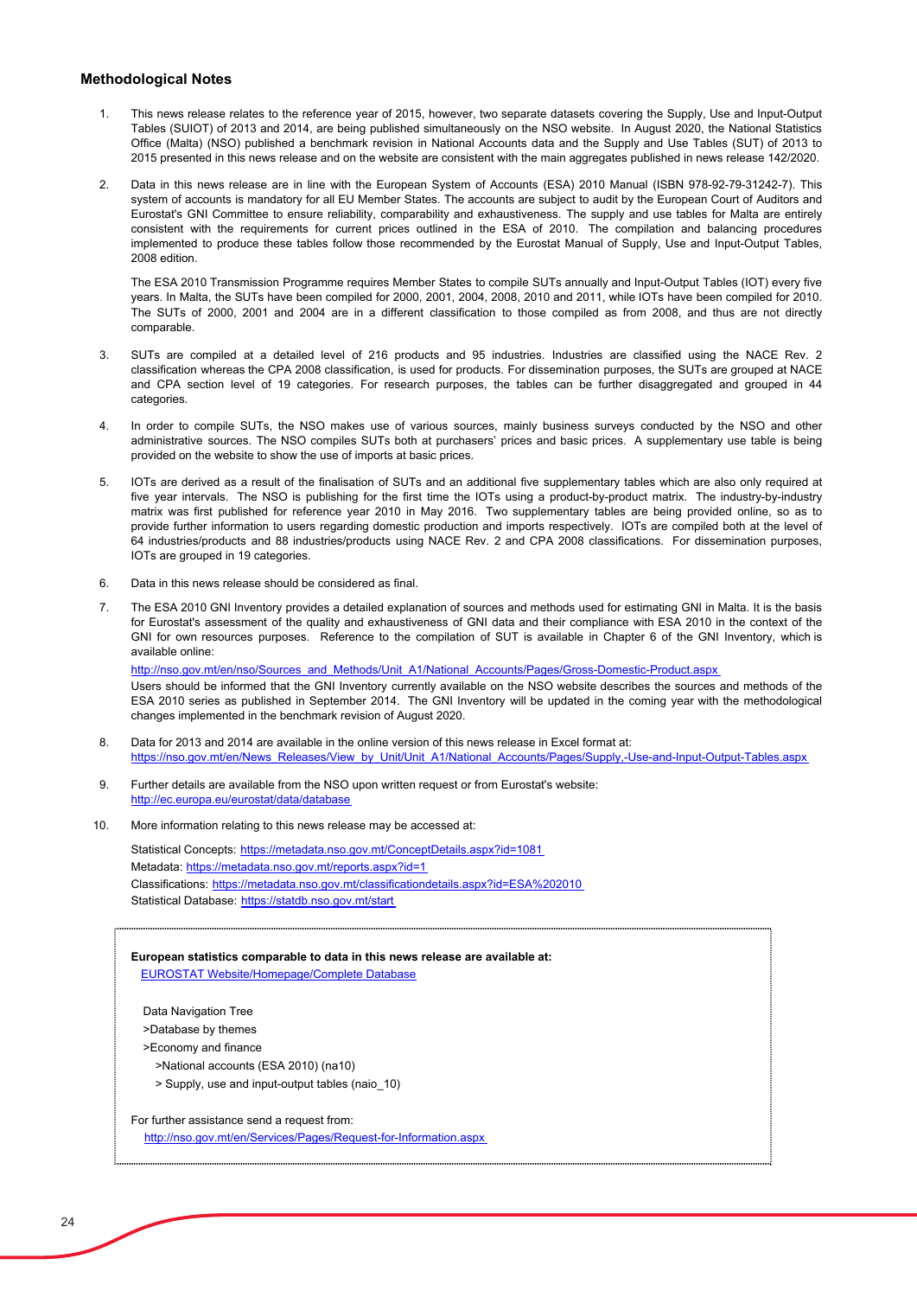### **Methodological Notes**

- 1. This news release relates to the reference year of 2015, however, two separate datasets covering the Supply, Use and Input-Output Tables (SUIOT) of 2013 and 2014, are being published simultaneously on the NSO website. In August 2020, the National Statistics Office (Malta) (NSO) published a benchmark revision in National Accounts data and the Supply and Use Tables (SUT) of 2013 to 2015 presented in this news release and on the website are consistent with the main aggregates published in news release 142/2020.
- 2. Data in this news release are in line with the European System of Accounts (ESA) 2010 Manual (ISBN 978-92-79-31242-7). This system of accounts is mandatory for all EU Member States. The accounts are subject to audit by the European Court of Auditors and Eurostat's GNI Committee to ensure reliability, comparability and exhaustiveness. The supply and use tables for Malta are entirely consistent with the requirements for current prices outlined in the ESA of 2010. The compilation and balancing procedures implemented to produce these tables follow those recommended by the Eurostat Manual of Supply, Use and Input-Output Tables, 2008 edition.

The ESA 2010 Transmission Programme requires Member States to compile SUTs annually and Input-Output Tables (IOT) every five years. In Malta, the SUTs have been compiled for 2000, 2001, 2004, 2008, 2010 and 2011, while IOTs have been compiled for 2010. The SUTs of 2000, 2001 and 2004 are in a different classification to those compiled as from 2008, and thus are not directly comparable.

- 3. SUTs are compiled at a detailed level of 216 products and 95 industries. Industries are classified using the NACE Rev. 2 classification whereas the CPA 2008 classification, is used for products. For dissemination purposes, the SUTs are grouped at NACE and CPA section level of 19 categories. For research purposes, the tables can be further disaggregated and grouped in 44 categories.
- 4. In order to compile SUTs, the NSO makes use of various sources, mainly business surveys conducted by the NSO and other administrative sources. The NSO compiles SUTs both at purchasers' prices and basic prices. A supplementary use table is being provided on the website to show the use of imports at basic prices.
- 5. IOTs are derived as a result of the finalisation of SUTs and an additional five supplementary tables which are also only required at five year intervals. The NSO is publishing for the first time the IOTs using a product-by-product matrix. The industry-by-industry matrix was first published for reference year 2010 in May 2016. Two supplementary tables are being provided online, so as to provide further information to users regarding domestic production and imports respectively. IOTs are compiled both at the level of 64 industries/products and 88 industries/products using NACE Rev. 2 and CPA 2008 classifications. For dissemination purposes, IOTs are grouped in 19 categories.
- 6. Data in this news release should be considered as final.
- 7. The ESA 2010 GNI Inventory provides a detailed explanation of sources and methods used for estimating GNI in Malta. It is the basis for Eurostat's assessment of the quality and exhaustiveness of GNI data and their compliance with ESA 2010 in the context of the GNI for own resources purposes. Reference to the compilation of SUT is available in Chapter 6 of the GNI Inventory, which is available online:

Users should be informed that the GNI Inventory currently available on the NSO website describes the sources and methods of the ESA 2010 series as published in September 2014. The GNI Inventory will be updated in the coming year with the methodological changes implemented in the benchmark revision of August 2020. http://nso.gov.mt/en/nso/Sources\_and\_Methods/Unit\_A1/National\_Accounts/Pages/Gross-Domestic-Product.aspx

8. Data for 2013 and 2014 are available in the online version of this news release in Excel format at: https://nso.gov.mt/en/News\_Releases/View\_by\_Unit/Unit\_A1/National\_Accounts/Pages/Supply,-Use-and-Input-Output-Tables.aspx

- 9. Further details are available from the NSO upon written request or from Eurostat's website: http://ec.europa.eu/eurostat/data/database
- 10. More information relating to this news release may be accessed at:

Metadata: https://metadata.nso.gov.mt/reports.aspx?id=1 Classifications: https://metadata.nso.gov.mt/classificationdetails.aspx?id=ESA%202010 Statistical Database: https://statdb.nso.gov.mt/start Statistical Concepts: https://metadata.nso.gov.mt/ConceptDetails.aspx?id=1081

**European statistics comparable to data in this news release are available at:** [EUROSTAT Website/Homepage/Complete Database](http://ec.europa.eu/eurostat/data/database)

Data Navigation Tree

>Database by themes

>Economy and finance

>National accounts (ESA 2010) (na10)

> Supply, use and input-output tables (naio\_10)

For further assistance send a request from:

http://nso.gov.mt/en/Services/Pages/Request-for-Information.aspx